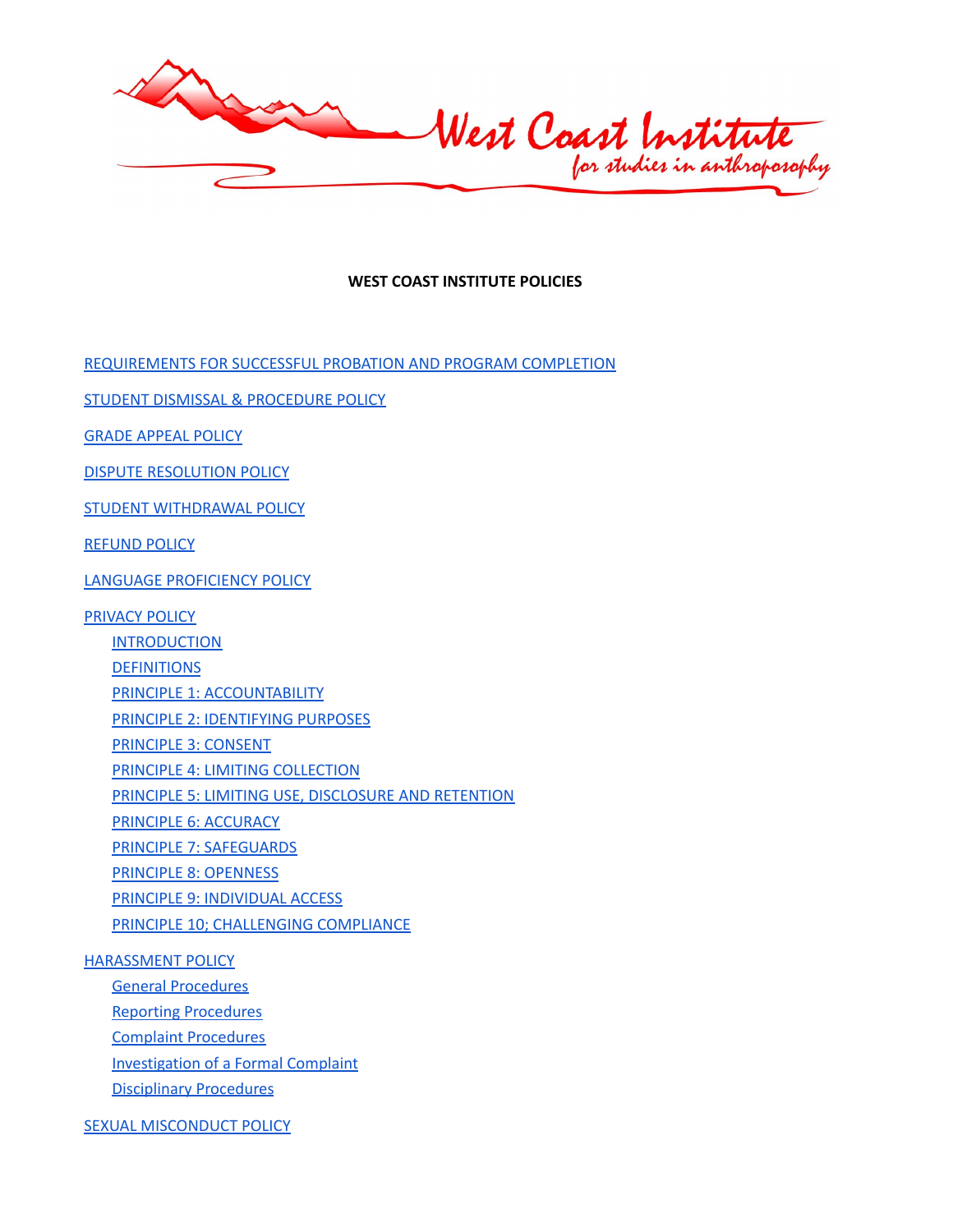West Coast Institute

# **WEST COAST INSTITUTE POLICIES**

[REQUIREMENTS](#page-2-0) FOR SUCCESSFUL PROBATION AND PROGRAM COMPLETION

STUDENT DISMISSAL & [PROCEDURE](#page-3-0) POLICY

GRADE [APPEAL](#page-3-1) POLICY

DISPUTE [RESOLUTION](#page-4-0) POLICY

STUDENT [WITHDRAWAL](#page-5-0) POLICY

[REFUND](#page-5-1) POLICY

LANGUAGE [PROFICIENCY](#page-6-0) POLICY

[PRIVACY](#page-7-0) POLICY

**[INTRODUCTION](#page-7-1)** 

**[DEFINITIONS](#page-7-2)** 

PRINCIPLE 1: [ACCOUNTABILITY](#page-8-0)

PRINCIPLE 2: [IDENTIFYING](#page-8-1) PURPOSES

[PRINCIPLE](#page-8-2) 3: CONSENT

PRINCIPLE 4: LIMITING [COLLECTION](#page-9-0)

PRINCIPLE 5: LIMITING USE, [DISCLOSURE](#page-9-1) AND RETENTION

PRINCIPLE 6: [ACCURACY](#page-9-2)

PRINCIPLE 7: [SAFEGUARDS](#page-10-0)

PRINCIPLE 8: [OPENNESS](#page-10-1)

PRINCIPLE 9: [INDIVIDUAL](#page-10-2) ACCESS

PRINCIPLE 10; [CHALLENGING](#page-11-0) COMPLIANCE

### [HARASSMENT](#page-12-0) POLICY

General [Procedures](#page-13-0) Reporting [Procedures](#page-13-1) Complaint [Procedures](#page-13-2) [Investigation](#page-14-0) of a Formal Complaint [Disciplinary](#page-15-0) Procedures

SEXUAL [MISCONDUCT](#page-15-1) POLICY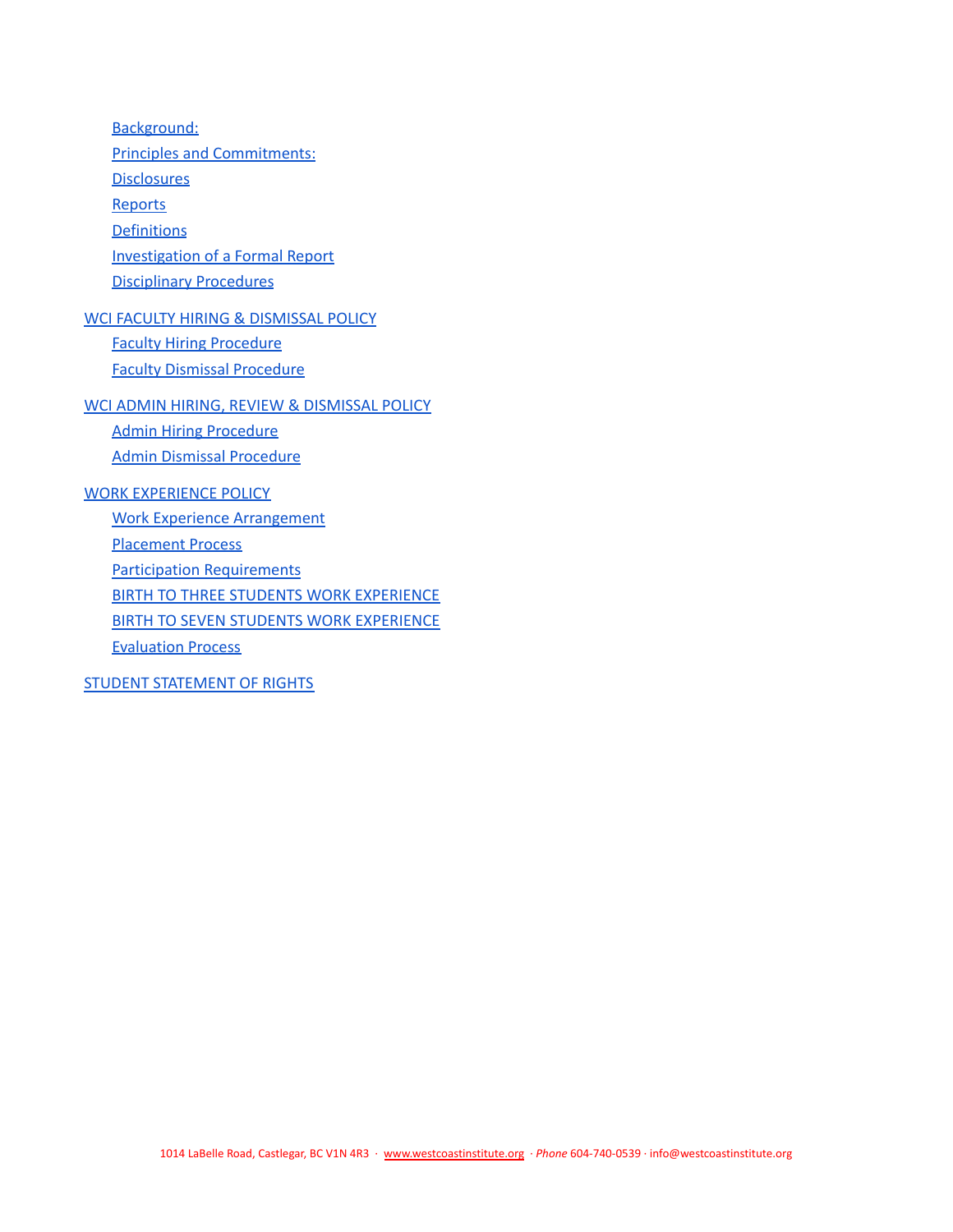[Background:](#page-15-2) Principles and [Commitments:](#page-15-3) **[Disclosures](#page-16-0) [Reports](#page-16-1) [Definitions](#page-16-2)** [Investigation](#page-17-0) of a Formal Report [Disciplinary](#page-18-0) Procedures WCI FACULTY HIRING & [DISMISSAL](#page-18-1) POLICY Faculty Hiring [Procedure](#page-18-2) Faculty Dismissal [Procedure](#page-19-0) WCI ADMIN HIRING, REVIEW & [DISMISSAL](#page-20-0) POLICY Admin Hiring [Procedure](#page-20-1) Admin Dismissal [Procedure](#page-21-0) WORK [EXPERIENCE](#page-22-0) POLICY Work Experience [Arrangement](#page-22-1) [Placement](#page-22-2) Process Participation [Requirements](#page-22-3) **BIRTH TO THREE STUDENTS WORK [EXPERIENCE](#page-22-4)** BIRTH TO SEVEN STUDENTS WORK [EXPERIENCE](#page-22-5) [Evaluation](#page-22-6) Process

STUDENT [STATEMENT](#page-23-0) OF RIGHTS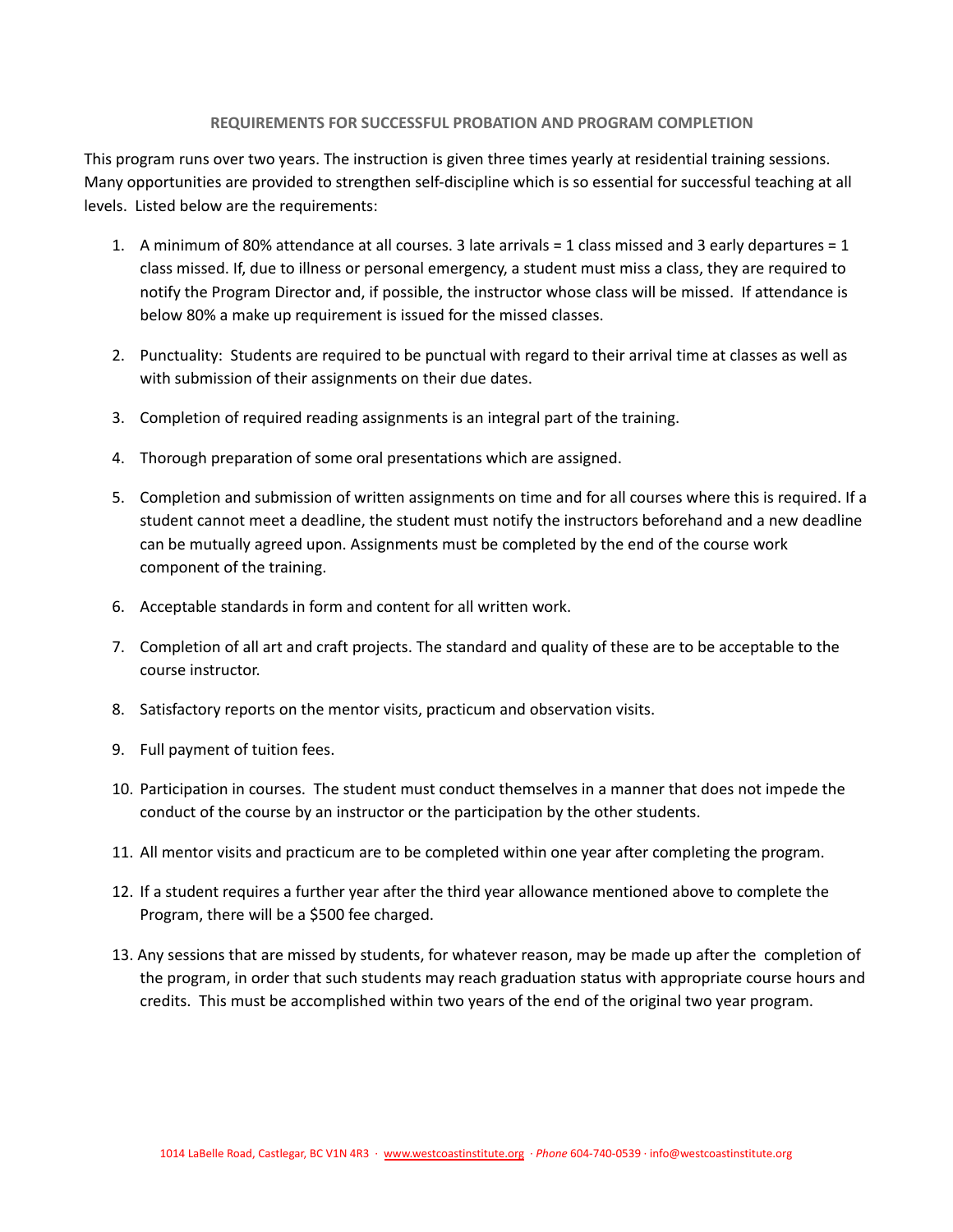### **REQUIREMENTS FOR SUCCESSFUL PROBATION AND PROGRAM COMPLETION**

<span id="page-2-0"></span>This program runs over two years. The instruction is given three times yearly at residential training sessions. Many opportunities are provided to strengthen self-discipline which is so essential for successful teaching at all levels. Listed below are the requirements:

- 1. A minimum of 80% attendance at all courses. 3 late arrivals = 1 class missed and 3 early departures = 1 class missed. If, due to illness or personal emergency, a student must miss a class, they are required to notify the Program Director and, if possible, the instructor whose class will be missed. If attendance is below 80% a make up requirement is issued for the missed classes.
- 2. Punctuality: Students are required to be punctual with regard to their arrival time at classes as well as with submission of their assignments on their due dates.
- 3. Completion of required reading assignments is an integral part of the training.
- 4. Thorough preparation of some oral presentations which are assigned.
- 5. Completion and submission of written assignments on time and for all courses where this is required. If a student cannot meet a deadline, the student must notify the instructors beforehand and a new deadline can be mutually agreed upon. Assignments must be completed by the end of the course work component of the training.
- 6. Acceptable standards in form and content for all written work.
- 7. Completion of all art and craft projects. The standard and quality of these are to be acceptable to the course instructor.
- 8. Satisfactory reports on the mentor visits, practicum and observation visits.
- 9. Full payment of tuition fees.
- 10. Participation in courses. The student must conduct themselves in a manner that does not impede the conduct of the course by an instructor or the participation by the other students.
- 11. All mentor visits and practicum are to be completed within one year after completing the program.
- 12. If a student requires a further year after the third year allowance mentioned above to complete the Program, there will be a \$500 fee charged.
- 13. Any sessions that are missed by students, for whatever reason, may be made up after the completion of the program, in order that such students may reach graduation status with appropriate course hours and credits. This must be accomplished within two years of the end of the original two year program.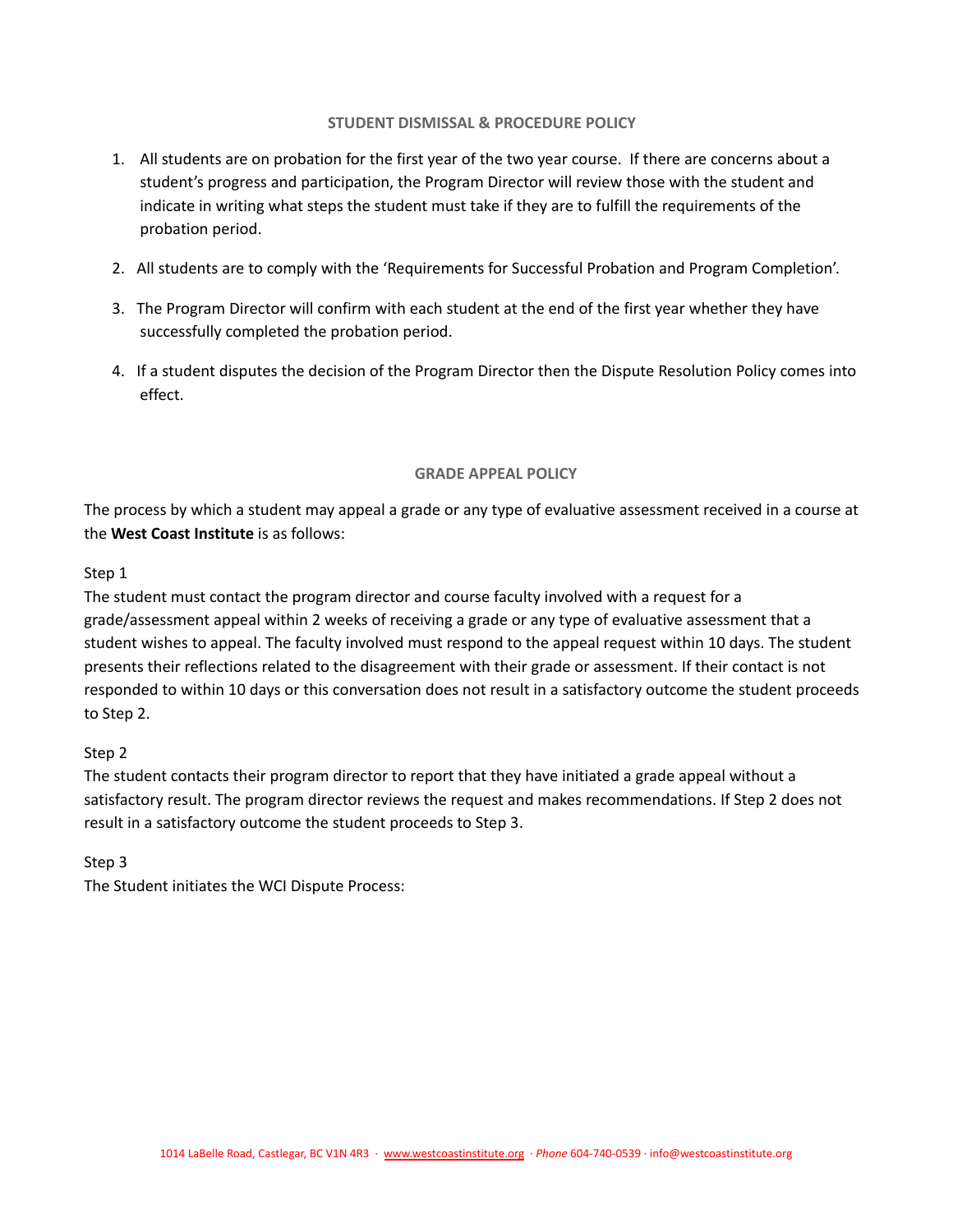## **STUDENT DISMISSAL & PROCEDURE POLICY**

- <span id="page-3-0"></span>1. All students are on probation for the first year of the two year course. If there are concerns about a student's progress and participation, the Program Director will review those with the student and indicate in writing what steps the student must take if they are to fulfill the requirements of the probation period.
- 2. All students are to comply with the 'Requirements for Successful Probation and Program Completion'.
- 3. The Program Director will confirm with each student at the end of the first year whether they have successfully completed the probation period.
- 4. If a student disputes the decision of the Program Director then the Dispute Resolution Policy comes into effect.

### **GRADE APPEAL POLICY**

<span id="page-3-1"></span>The process by which a student may appeal a grade or any type of evaluative assessment received in a course at the **West Coast Institute** is as follows:

## Step 1

The student must contact the program director and course faculty involved with a request for a grade/assessment appeal within 2 weeks of receiving a grade or any type of evaluative assessment that a student wishes to appeal. The faculty involved must respond to the appeal request within 10 days. The student presents their reflections related to the disagreement with their grade or assessment. If their contact is not responded to within 10 days or this conversation does not result in a satisfactory outcome the student proceeds to Step 2.

### Step 2

The student contacts their program director to report that they have initiated a grade appeal without a satisfactory result. The program director reviews the request and makes recommendations. If Step 2 does not result in a satisfactory outcome the student proceeds to Step 3.

### Step 3

The Student initiates the WCI Dispute Process: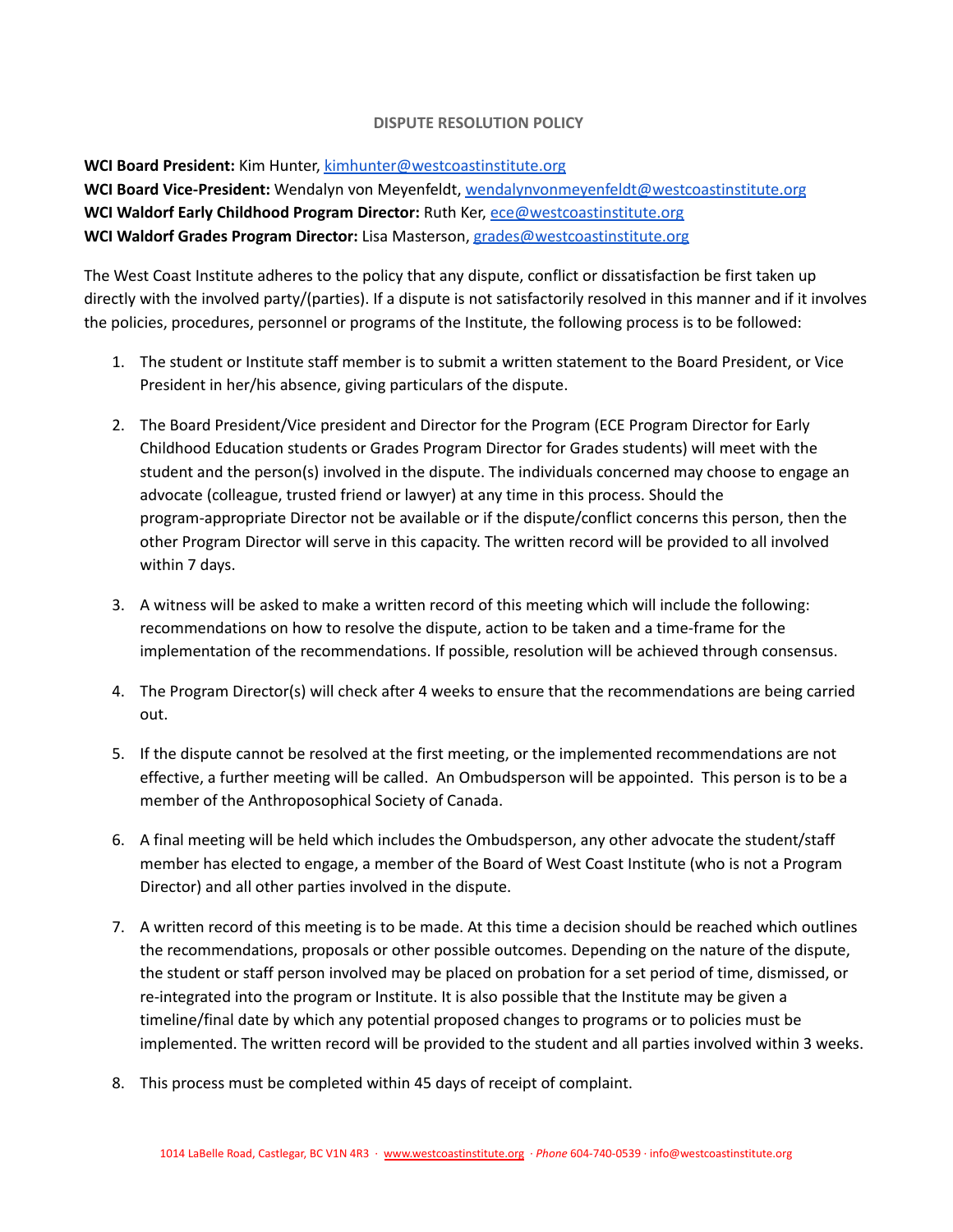## **DISPUTE RESOLUTION POLICY**

<span id="page-4-0"></span>**WCI Board President:** Kim Hunter, [kimhunter@westcoastinstitute.org](mailto:kimhunter@westcoastinstitute.org)

**WCI Board Vice-President:** Wendalyn von Meyenfeldt, [wendalynvonmeyenfeldt@westcoastinstitute.org](mailto:wendalynvonmeyenfeldt@westcoastinstitute.org) **WCI Waldorf Early Childhood Program Director:** Ruth Ker, [ece@westcoastinstitute.org](mailto:ece@westcoastinstitute.org) **WCI Waldorf Grades Program Director:** Lisa Masterson, [grades@westcoastinstitute.org](mailto:grades@westcoastinstitute.org)

The West Coast Institute adheres to the policy that any dispute, conflict or dissatisfaction be first taken up directly with the involved party/(parties). If a dispute is not satisfactorily resolved in this manner and if it involves the policies, procedures, personnel or programs of the Institute, the following process is to be followed:

- 1. The student or Institute staff member is to submit a written statement to the Board President, or Vice President in her/his absence, giving particulars of the dispute.
- 2. The Board President/Vice president and Director for the Program (ECE Program Director for Early Childhood Education students or Grades Program Director for Grades students) will meet with the student and the person(s) involved in the dispute. The individuals concerned may choose to engage an advocate (colleague, trusted friend or lawyer) at any time in this process. Should the program-appropriate Director not be available or if the dispute/conflict concerns this person, then the other Program Director will serve in this capacity. The written record will be provided to all involved within 7 days.
- 3. A witness will be asked to make a written record of this meeting which will include the following: recommendations on how to resolve the dispute, action to be taken and a time-frame for the implementation of the recommendations. If possible, resolution will be achieved through consensus.
- 4. The Program Director(s) will check after 4 weeks to ensure that the recommendations are being carried out.
- 5. If the dispute cannot be resolved at the first meeting, or the implemented recommendations are not effective, a further meeting will be called. An Ombudsperson will be appointed. This person is to be a member of the Anthroposophical Society of Canada.
- 6. A final meeting will be held which includes the Ombudsperson, any other advocate the student/staff member has elected to engage, a member of the Board of West Coast Institute (who is not a Program Director) and all other parties involved in the dispute.
- 7. A written record of this meeting is to be made. At this time a decision should be reached which outlines the recommendations, proposals or other possible outcomes. Depending on the nature of the dispute, the student or staff person involved may be placed on probation for a set period of time, dismissed, or re-integrated into the program or Institute. It is also possible that the Institute may be given a timeline/final date by which any potential proposed changes to programs or to policies must be implemented. The written record will be provided to the student and all parties involved within 3 weeks.
- 8. This process must be completed within 45 days of receipt of complaint.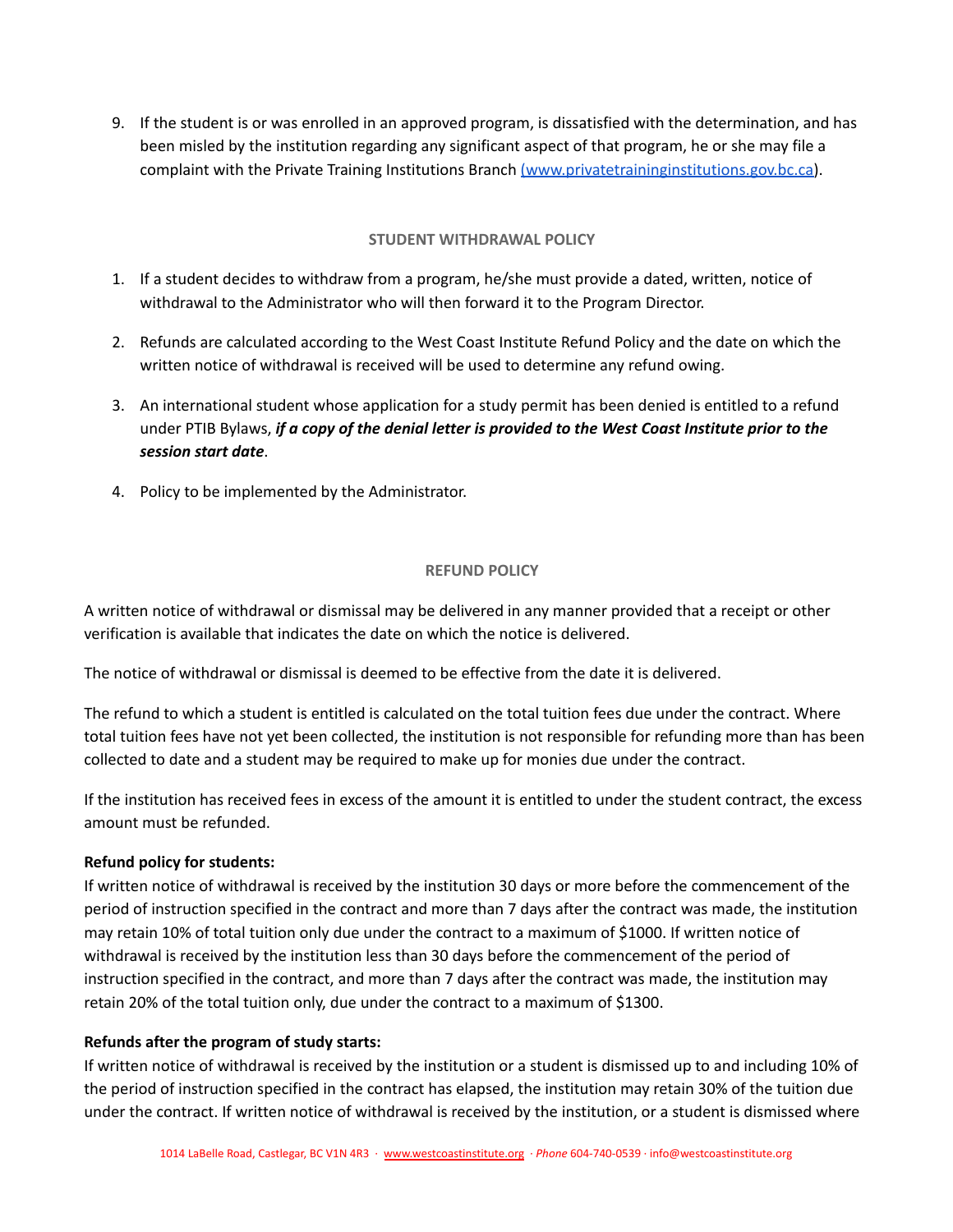9. If the student is or was enrolled in an approved program, is dissatisfied with the determination, and has been misled by the institution regarding any significant aspect of that program, he or she may file a complaint with the Private Training Institutions Branch [\(www.privatetraininginstitutions.gov.bc.ca\)](http://www.privatetraininginstitutions.gov.bc.ca).

## **STUDENT WITHDRAWAL POLICY**

- <span id="page-5-0"></span>1. If a student decides to withdraw from a program, he/she must provide a dated, written, notice of withdrawal to the Administrator who will then forward it to the Program Director.
- 2. Refunds are calculated according to the West Coast Institute Refund Policy and the date on which the written notice of withdrawal is received will be used to determine any refund owing.
- 3. An international student whose application for a study permit has been denied is entitled to a refund under PTIB Bylaws, *if a copy of the denial letter is provided to the West Coast Institute prior to the session start date*.
- 4. Policy to be implemented by the Administrator.

# **REFUND POLICY**

<span id="page-5-1"></span>A written notice of withdrawal or dismissal may be delivered in any manner provided that a receipt or other verification is available that indicates the date on which the notice is delivered.

The notice of withdrawal or dismissal is deemed to be effective from the date it is delivered.

The refund to which a student is entitled is calculated on the total tuition fees due under the contract. Where total tuition fees have not yet been collected, the institution is not responsible for refunding more than has been collected to date and a student may be required to make up for monies due under the contract.

If the institution has received fees in excess of the amount it is entitled to under the student contract, the excess amount must be refunded.

# **Refund policy for students:**

If written notice of withdrawal is received by the institution 30 days or more before the commencement of the period of instruction specified in the contract and more than 7 days after the contract was made, the institution may retain 10% of total tuition only due under the contract to a maximum of \$1000. If written notice of withdrawal is received by the institution less than 30 days before the commencement of the period of instruction specified in the contract, and more than 7 days after the contract was made, the institution may retain 20% of the total tuition only, due under the contract to a maximum of \$1300.

# **Refunds after the program of study starts:**

If written notice of withdrawal is received by the institution or a student is dismissed up to and including 10% of the period of instruction specified in the contract has elapsed, the institution may retain 30% of the tuition due under the contract. If written notice of withdrawal is received by the institution, or a student is dismissed where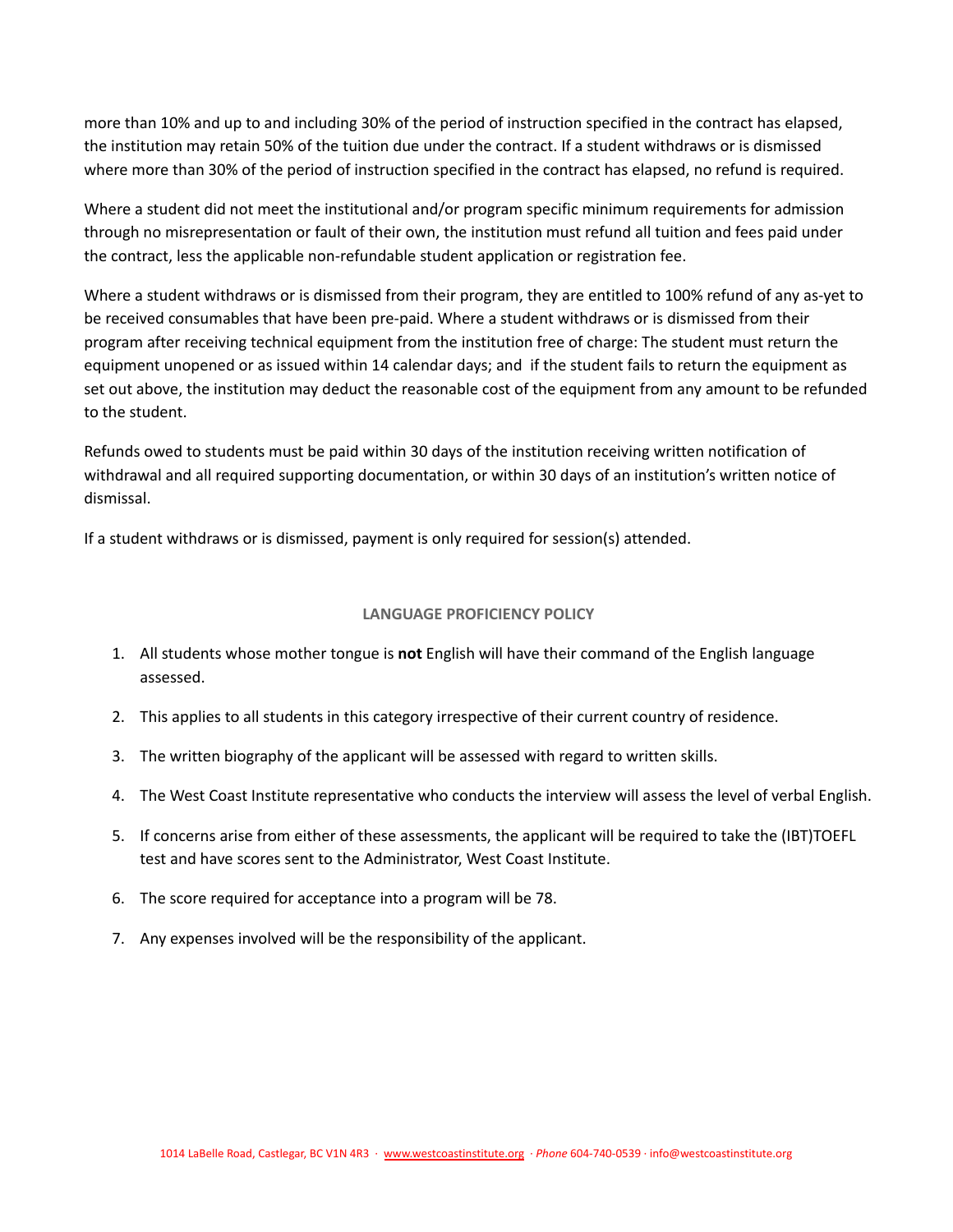more than 10% and up to and including 30% of the period of instruction specified in the contract has elapsed, the institution may retain 50% of the tuition due under the contract. If a student withdraws or is dismissed where more than 30% of the period of instruction specified in the contract has elapsed, no refund is required.

Where a student did not meet the institutional and/or program specific minimum requirements for admission through no misrepresentation or fault of their own, the institution must refund all tuition and fees paid under the contract, less the applicable non-refundable student application or registration fee.

Where a student withdraws or is dismissed from their program, they are entitled to 100% refund of any as-yet to be received consumables that have been pre-paid. Where a student withdraws or is dismissed from their program after receiving technical equipment from the institution free of charge: The student must return the equipment unopened or as issued within 14 calendar days; and if the student fails to return the equipment as set out above, the institution may deduct the reasonable cost of the equipment from any amount to be refunded to the student.

Refunds owed to students must be paid within 30 days of the institution receiving written notification of withdrawal and all required supporting documentation, or within 30 days of an institution's written notice of dismissal.

If a student withdraws or is dismissed, payment is only required for session(s) attended.

# **LANGUAGE PROFICIENCY POLICY**

- <span id="page-6-0"></span>1. All students whose mother tongue is **not** English will have their command of the English language assessed.
- 2. This applies to all students in this category irrespective of their current country of residence.
- 3. The written biography of the applicant will be assessed with regard to written skills.
- 4. The West Coast Institute representative who conducts the interview will assess the level of verbal English.
- 5. If concerns arise from either of these assessments, the applicant will be required to take the (IBT)TOEFL test and have scores sent to the Administrator, West Coast Institute.
- 6. The score required for acceptance into a program will be 78.
- 7. Any expenses involved will be the responsibility of the applicant.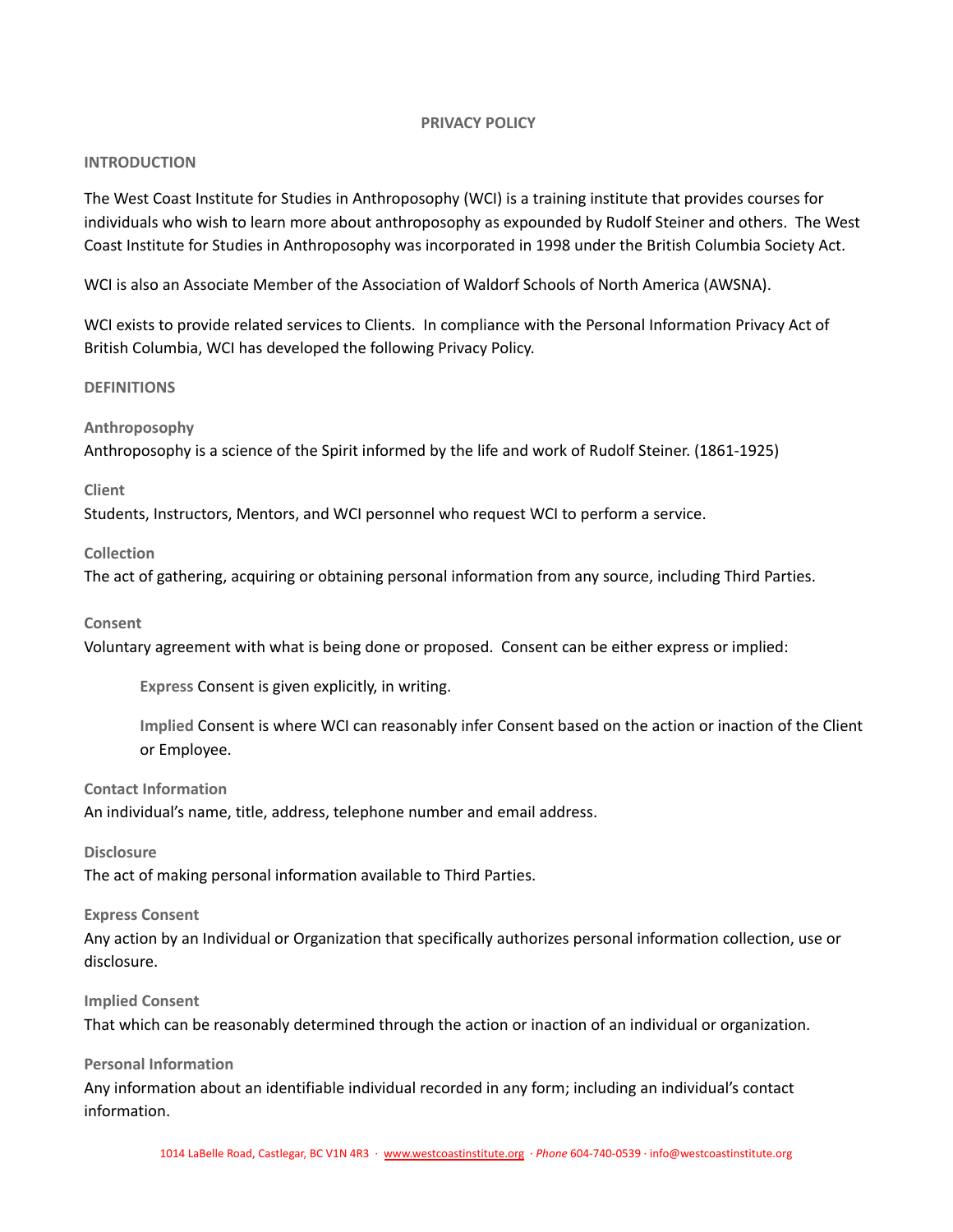### **PRIVACY POLICY**

# <span id="page-7-1"></span><span id="page-7-0"></span>**INTRODUCTION**

The West Coast Institute for Studies in Anthroposophy (WCI) is a training institute that provides courses for individuals who wish to learn more about anthroposophy as expounded by Rudolf Steiner and others. The West Coast Institute for Studies in Anthroposophy was incorporated in 1998 under the British Columbia Society Act.

WCI is also an Associate Member of the Association of Waldorf Schools of North America (AWSNA).

WCI exists to provide related services to Clients. In compliance with the Personal Information Privacy Act of British Columbia, WCI has developed the following Privacy Policy.

#### <span id="page-7-2"></span>**DEFINITIONS**

#### **Anthroposophy**

Anthroposophy is a science of the Spirit informed by the life and work of Rudolf Steiner. (1861-1925)

#### **Client**

Students, Instructors, Mentors, and WCI personnel who request WCI to perform a service.

#### **Collection**

The act of gathering, acquiring or obtaining personal information from any source, including Third Parties.

#### **Consent**

Voluntary agreement with what is being done or proposed. Consent can be either express or implied:

**Express** Consent is given explicitly, in writing.

**Implied** Consent is where WCI can reasonably infer Consent based on the action or inaction of the Client or Employee.

### **Contact Information**

An individual's name, title, address, telephone number and email address.

**Disclosure**

The act of making personal information available to Third Parties.

#### **Express Consent**

Any action by an Individual or Organization that specifically authorizes personal information collection, use or disclosure.

### **Implied Consent**

That which can be reasonably determined through the action or inaction of an individual or organization.

**Personal Information**

Any information about an identifiable individual recorded in any form; including an individual's contact information.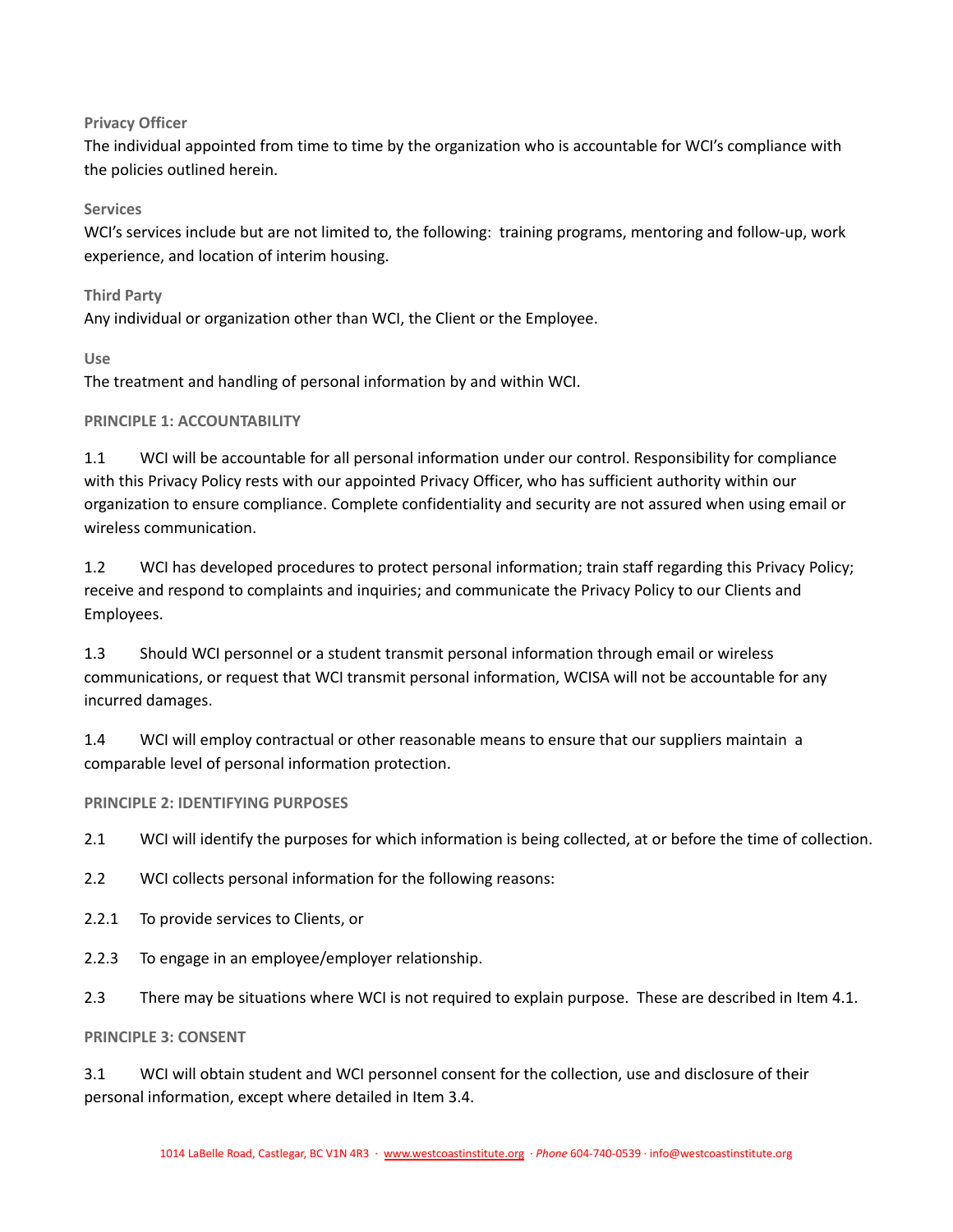# **Privacy Officer**

The individual appointed from time to time by the organization who is accountable for WCI's compliance with the policies outlined herein.

# **Services**

WCI's services include but are not limited to, the following: training programs, mentoring and follow-up, work experience, and location of interim housing.

# **Third Party**

Any individual or organization other than WCI, the Client or the Employee.

# **Use**

The treatment and handling of personal information by and within WCI.

# <span id="page-8-0"></span>**PRINCIPLE 1: ACCOUNTABILITY**

1.1 WCI will be accountable for all personal information under our control. Responsibility for compliance with this Privacy Policy rests with our appointed Privacy Officer, who has sufficient authority within our organization to ensure compliance. Complete confidentiality and security are not assured when using email or wireless communication.

1.2 WCI has developed procedures to protect personal information; train staff regarding this Privacy Policy; receive and respond to complaints and inquiries; and communicate the Privacy Policy to our Clients and Employees.

1.3 Should WCI personnel or a student transmit personal information through email or wireless communications, or request that WCI transmit personal information, WCISA will not be accountable for any incurred damages.

1.4 WCI will employ contractual or other reasonable means to ensure that our suppliers maintain a comparable level of personal information protection.

# <span id="page-8-1"></span>**PRINCIPLE 2: IDENTIFYING PURPOSES**

2.1 WCI will identify the purposes for which information is being collected, at or before the time of collection.

2.2 WCI collects personal information for the following reasons:

- 2.2.1 To provide services to Clients, or
- 2.2.3 To engage in an employee/employer relationship.
- 2.3 There may be situations where WCI is not required to explain purpose. These are described in Item 4.1.

# <span id="page-8-2"></span>**PRINCIPLE 3: CONSENT**

3.1 WCI will obtain student and WCI personnel consent for the collection, use and disclosure of their personal information, except where detailed in Item 3.4.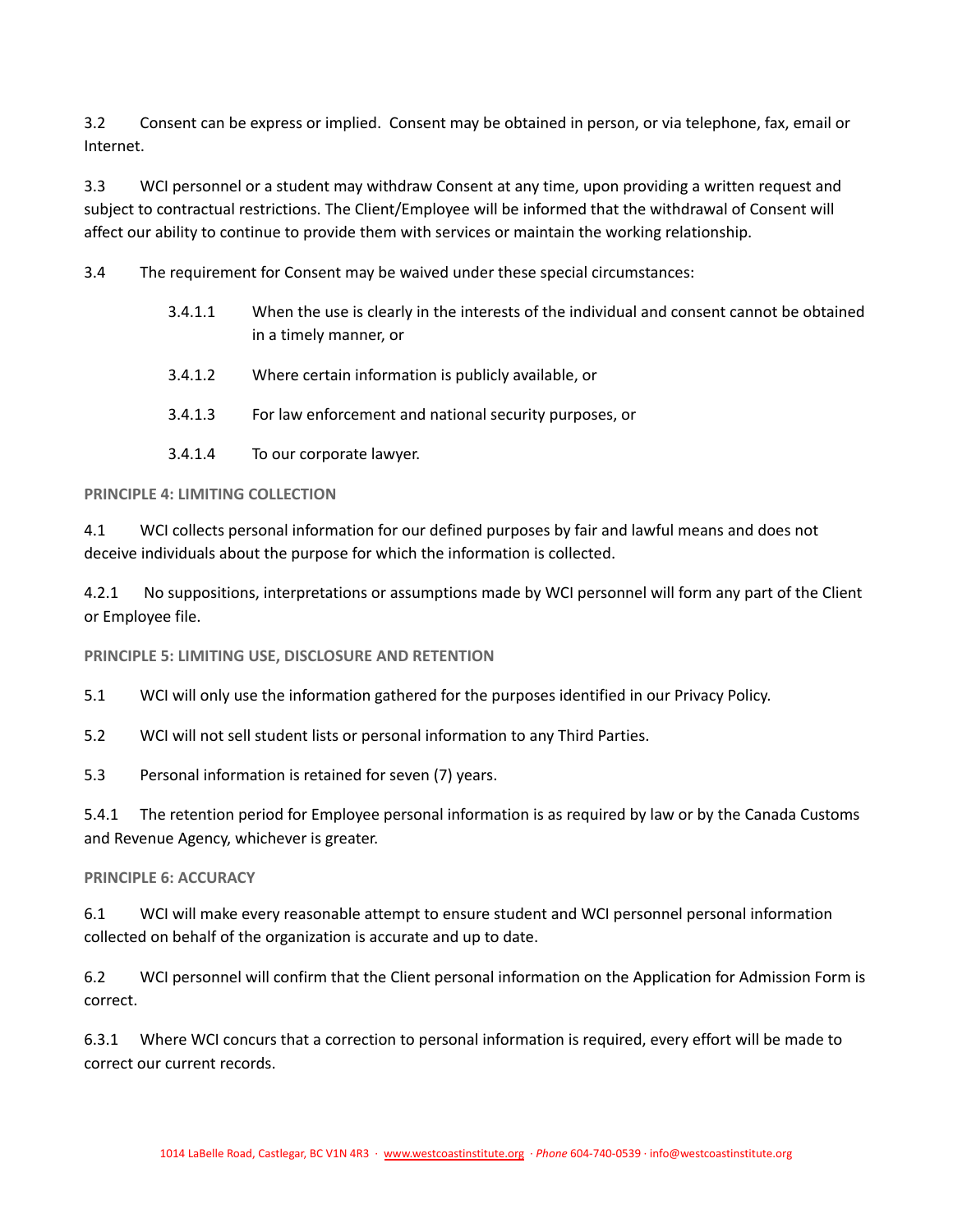3.2 Consent can be express or implied. Consent may be obtained in person, or via telephone, fax, email or Internet.

3.3 WCI personnel or a student may withdraw Consent at any time, upon providing a written request and subject to contractual restrictions. The Client/Employee will be informed that the withdrawal of Consent will affect our ability to continue to provide them with services or maintain the working relationship.

3.4 The requirement for Consent may be waived under these special circumstances:

- 3.4.1.1 When the use is clearly in the interests of the individual and consent cannot be obtained in a timely manner, or
- 3.4.1.2 Where certain information is publicly available, or
- 3.4.1.3 For law enforcement and national security purposes, or
- 3.4.1.4 To our corporate lawyer.

#### <span id="page-9-0"></span>**PRINCIPLE 4: LIMITING COLLECTION**

4.1 WCI collects personal information for our defined purposes by fair and lawful means and does not deceive individuals about the purpose for which the information is collected.

4.2.1 No suppositions, interpretations or assumptions made by WCI personnel will form any part of the Client or Employee file.

<span id="page-9-1"></span>**PRINCIPLE 5: LIMITING USE, DISCLOSURE AND RETENTION**

5.1 WCI will only use the information gathered for the purposes identified in our Privacy Policy.

5.2 WCI will not sell student lists or personal information to any Third Parties.

5.3 Personal information is retained for seven (7) years.

5.4.1 The retention period for Employee personal information is as required by law or by the Canada Customs and Revenue Agency, whichever is greater.

### <span id="page-9-2"></span>**PRINCIPLE 6: ACCURACY**

6.1 WCI will make every reasonable attempt to ensure student and WCI personnel personal information collected on behalf of the organization is accurate and up to date.

6.2 WCI personnel will confirm that the Client personal information on the Application for Admission Form is correct.

6.3.1 Where WCI concurs that a correction to personal information is required, every effort will be made to correct our current records.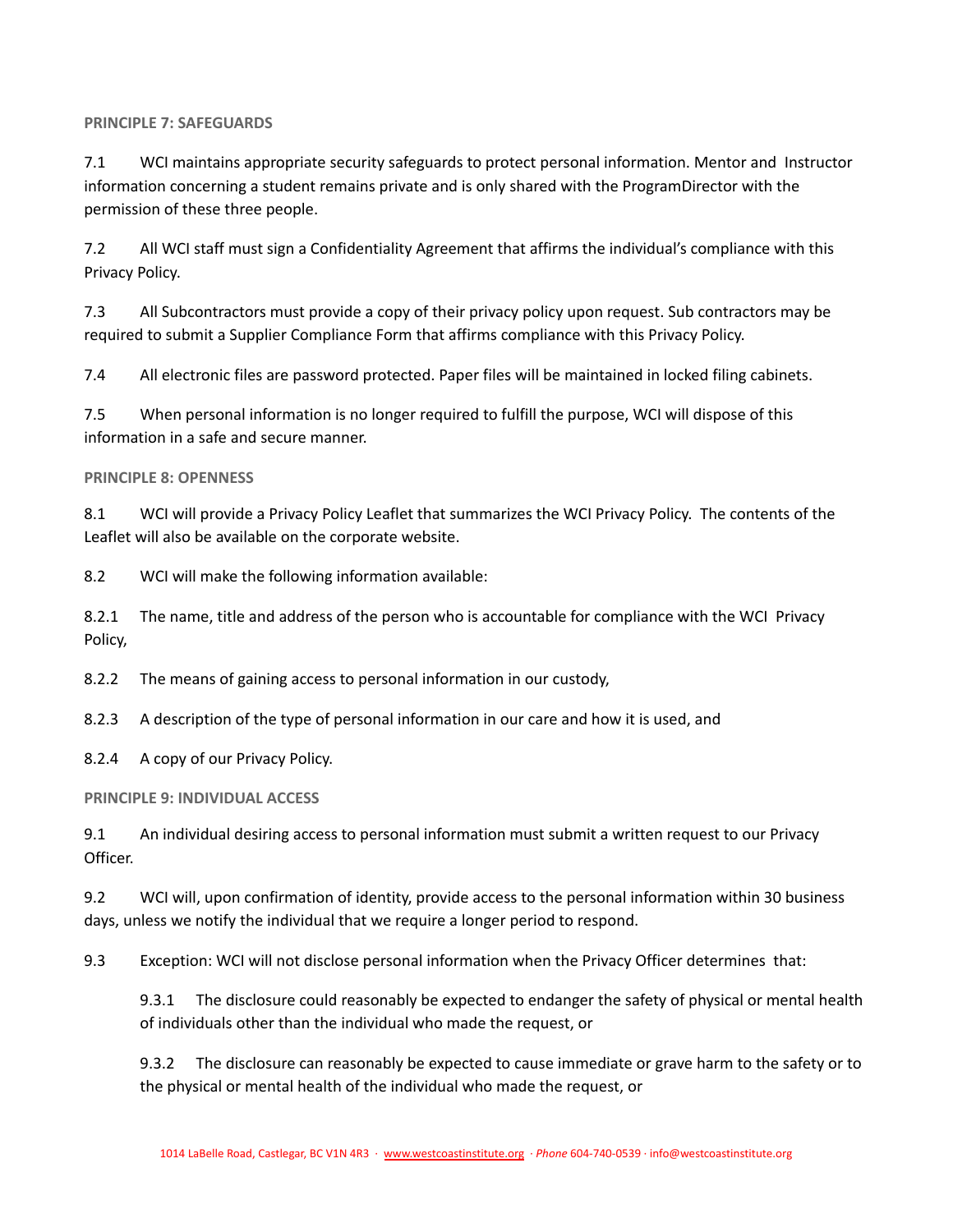### <span id="page-10-0"></span>**PRINCIPLE 7: SAFEGUARDS**

7.1 WCI maintains appropriate security safeguards to protect personal information. Mentor and Instructor information concerning a student remains private and is only shared with the ProgramDirector with the permission of these three people.

7.2 All WCI staff must sign a Confidentiality Agreement that affirms the individual's compliance with this Privacy Policy.

7.3 All Subcontractors must provide a copy of their privacy policy upon request. Sub contractors may be required to submit a Supplier Compliance Form that affirms compliance with this Privacy Policy.

7.4 All electronic files are password protected. Paper files will be maintained in locked filing cabinets.

7.5 When personal information is no longer required to fulfill the purpose, WCI will dispose of this information in a safe and secure manner.

## <span id="page-10-1"></span>**PRINCIPLE 8: OPENNESS**

8.1 WCI will provide a Privacy Policy Leaflet that summarizes the WCI Privacy Policy. The contents of the Leaflet will also be available on the corporate website.

8.2 WCI will make the following information available:

8.2.1 The name, title and address of the person who is accountable for compliance with the WCI Privacy Policy,

8.2.2 The means of gaining access to personal information in our custody,

8.2.3 A description of the type of personal information in our care and how it is used, and

8.2.4 A copy of our Privacy Policy.

<span id="page-10-2"></span>**PRINCIPLE 9: INDIVIDUAL ACCESS**

9.1 An individual desiring access to personal information must submit a written request to our Privacy Officer.

9.2 WCI will, upon confirmation of identity, provide access to the personal information within 30 business days, unless we notify the individual that we require a longer period to respond.

9.3 Exception: WCI will not disclose personal information when the Privacy Officer determines that:

9.3.1 The disclosure could reasonably be expected to endanger the safety of physical or mental health of individuals other than the individual who made the request, or

9.3.2 The disclosure can reasonably be expected to cause immediate or grave harm to the safety or to the physical or mental health of the individual who made the request, or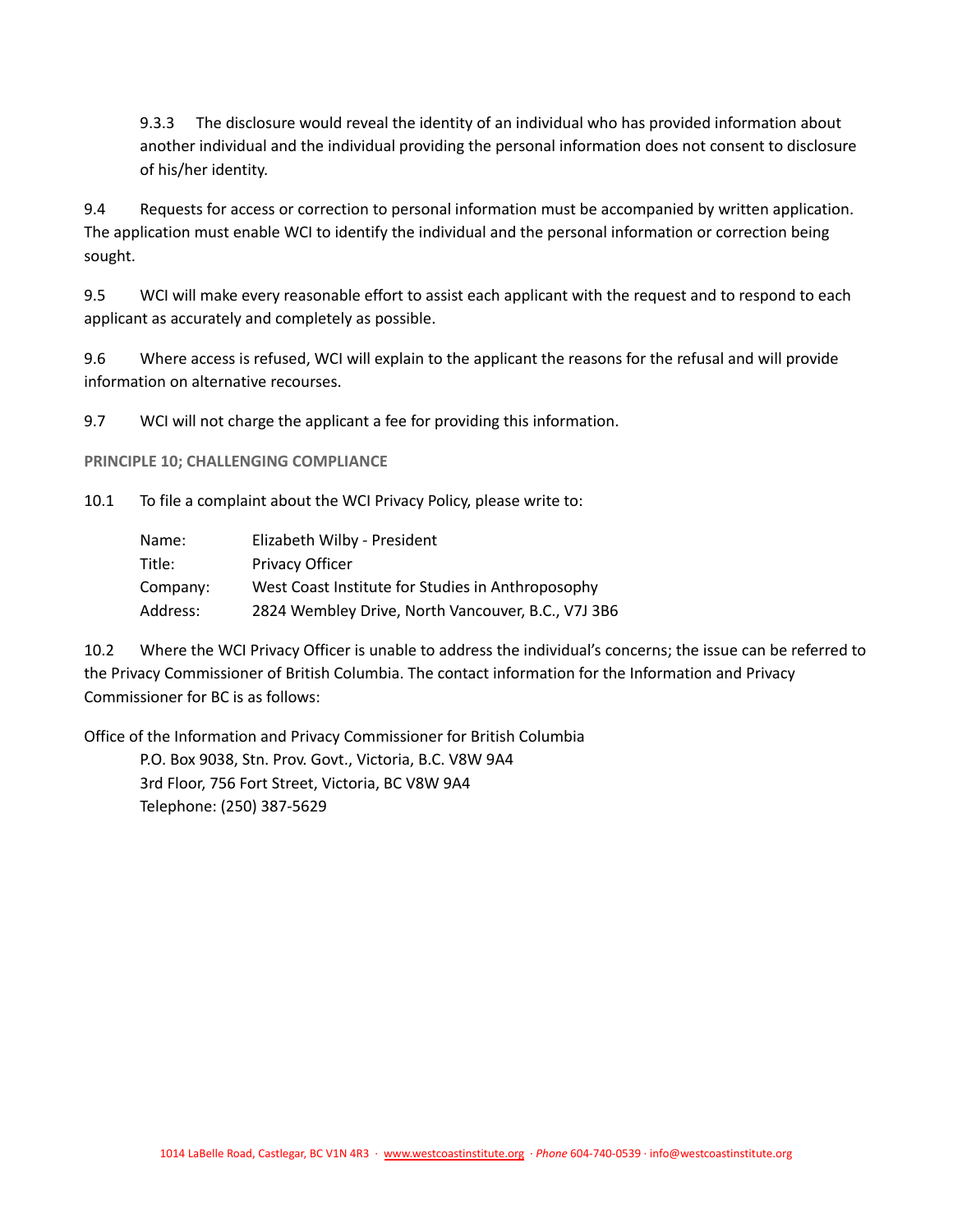9.3.3 The disclosure would reveal the identity of an individual who has provided information about another individual and the individual providing the personal information does not consent to disclosure of his/her identity.

9.4 Requests for access or correction to personal information must be accompanied by written application. The application must enable WCI to identify the individual and the personal information or correction being sought.

9.5 WCI will make every reasonable effort to assist each applicant with the request and to respond to each applicant as accurately and completely as possible.

9.6 Where access is refused, WCI will explain to the applicant the reasons for the refusal and will provide information on alternative recourses.

9.7 WCI will not charge the applicant a fee for providing this information.

<span id="page-11-0"></span>**PRINCIPLE 10; CHALLENGING COMPLIANCE**

10.1 To file a complaint about the WCI Privacy Policy, please write to:

| Name:    | Elizabeth Wilby - President                        |
|----------|----------------------------------------------------|
| Title:   | <b>Privacy Officer</b>                             |
| Company: | West Coast Institute for Studies in Anthroposophy  |
| Address: | 2824 Wembley Drive, North Vancouver, B.C., V7J 3B6 |

10.2 Where the WCI Privacy Officer is unable to address the individual's concerns; the issue can be referred to the Privacy Commissioner of British Columbia. The contact information for the Information and Privacy Commissioner for BC is as follows:

Office of the Information and Privacy Commissioner for British Columbia

P.O. Box 9038, Stn. Prov. Govt., Victoria, B.C. V8W 9A4 3rd Floor, 756 Fort Street, Victoria, BC V8W 9A4 Telephone: (250) 387-5629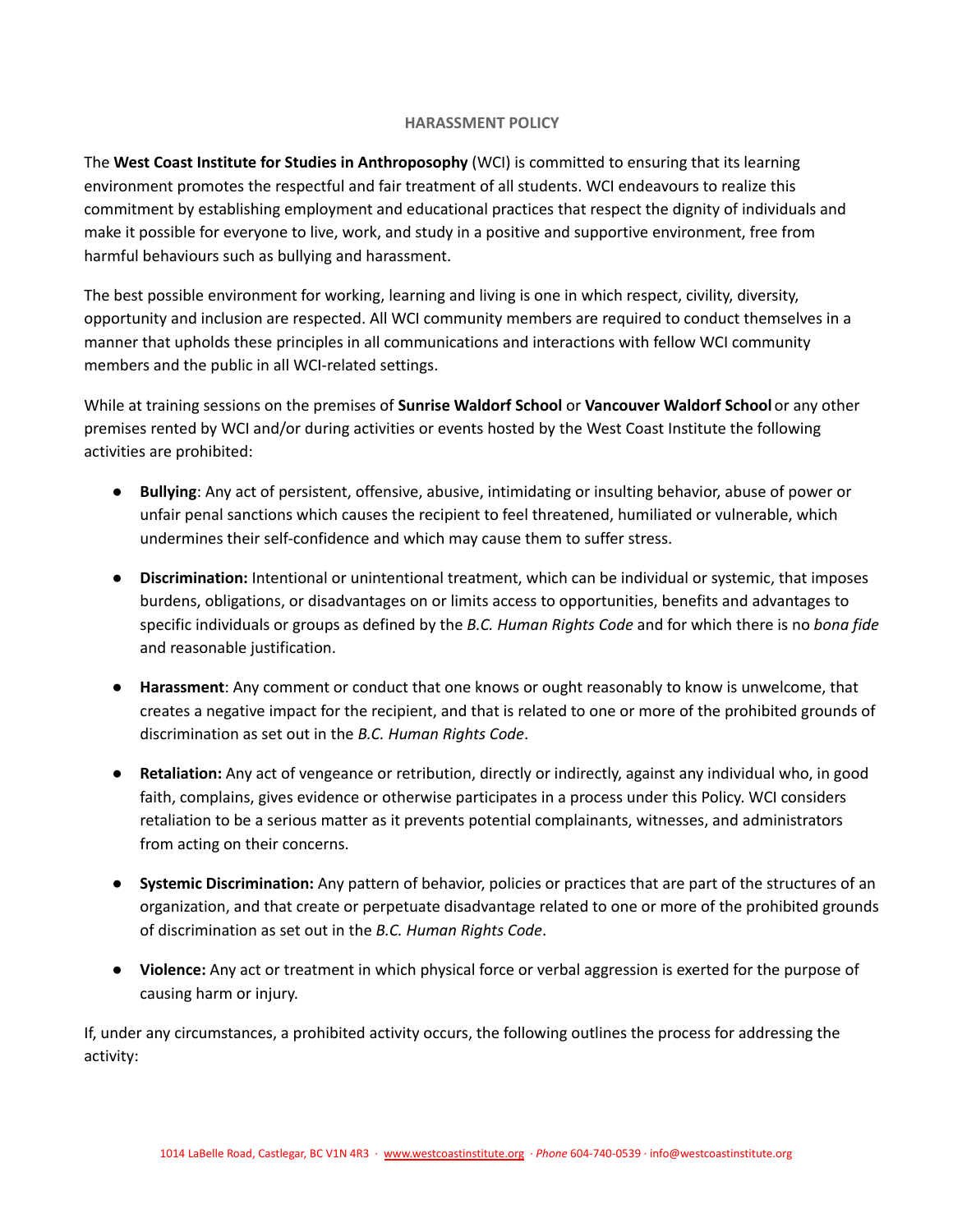## **HARASSMENT POLICY**

<span id="page-12-0"></span>The **West Coast Institute for Studies in Anthroposophy** (WCI) is committed to ensuring that its learning environment promotes the respectful and fair treatment of all students. WCI endeavours to realize this commitment by establishing employment and educational practices that respect the dignity of individuals and make it possible for everyone to live, work, and study in a positive and supportive environment, free from harmful behaviours such as bullying and harassment.

The best possible environment for working, learning and living is one in which respect, civility, diversity, opportunity and inclusion are respected. All WCI community members are required to conduct themselves in a manner that upholds these principles in all communications and interactions with fellow WCI community members and the public in all WCI-related settings.

While at training sessions on the premises of **Sunrise Waldorf School** or **Vancouver Waldorf School** or any other premises rented by WCI and/or during activities or events hosted by the West Coast Institute the following activities are prohibited:

- **Bullying**: Any act of persistent, offensive, abusive, intimidating or insulting behavior, abuse of power or unfair penal sanctions which causes the recipient to feel threatened, humiliated or vulnerable, which undermines their self-confidence and which may cause them to suffer stress.
- **Discrimination:** Intentional or unintentional treatment, which can be individual or systemic, that imposes burdens, obligations, or disadvantages on or limits access to opportunities, benefits and advantages to specific individuals or groups as defined by the *B.C. Human Rights Code* and for which there is no *bona fide* and reasonable justification.
- **Harassment**: Any comment or conduct that one knows or ought reasonably to know is unwelcome, that creates a negative impact for the recipient, and that is related to one or more of the prohibited grounds of discrimination as set out in the *B.C. Human Rights Code*.
- **Retaliation:** Any act of vengeance or retribution, directly or indirectly, against any individual who, in good faith, complains, gives evidence or otherwise participates in a process under this Policy. WCI considers retaliation to be a serious matter as it prevents potential complainants, witnesses, and administrators from acting on their concerns.
- **Systemic Discrimination:** Any pattern of behavior, policies or practices that are part of the structures of an organization, and that create or perpetuate disadvantage related to one or more of the prohibited grounds of discrimination as set out in the *B.C. Human Rights Code*.
- **Violence:** Any act or treatment in which physical force or verbal aggression is exerted for the purpose of causing harm or injury.

If, under any circumstances, a prohibited activity occurs, the following outlines the process for addressing the activity: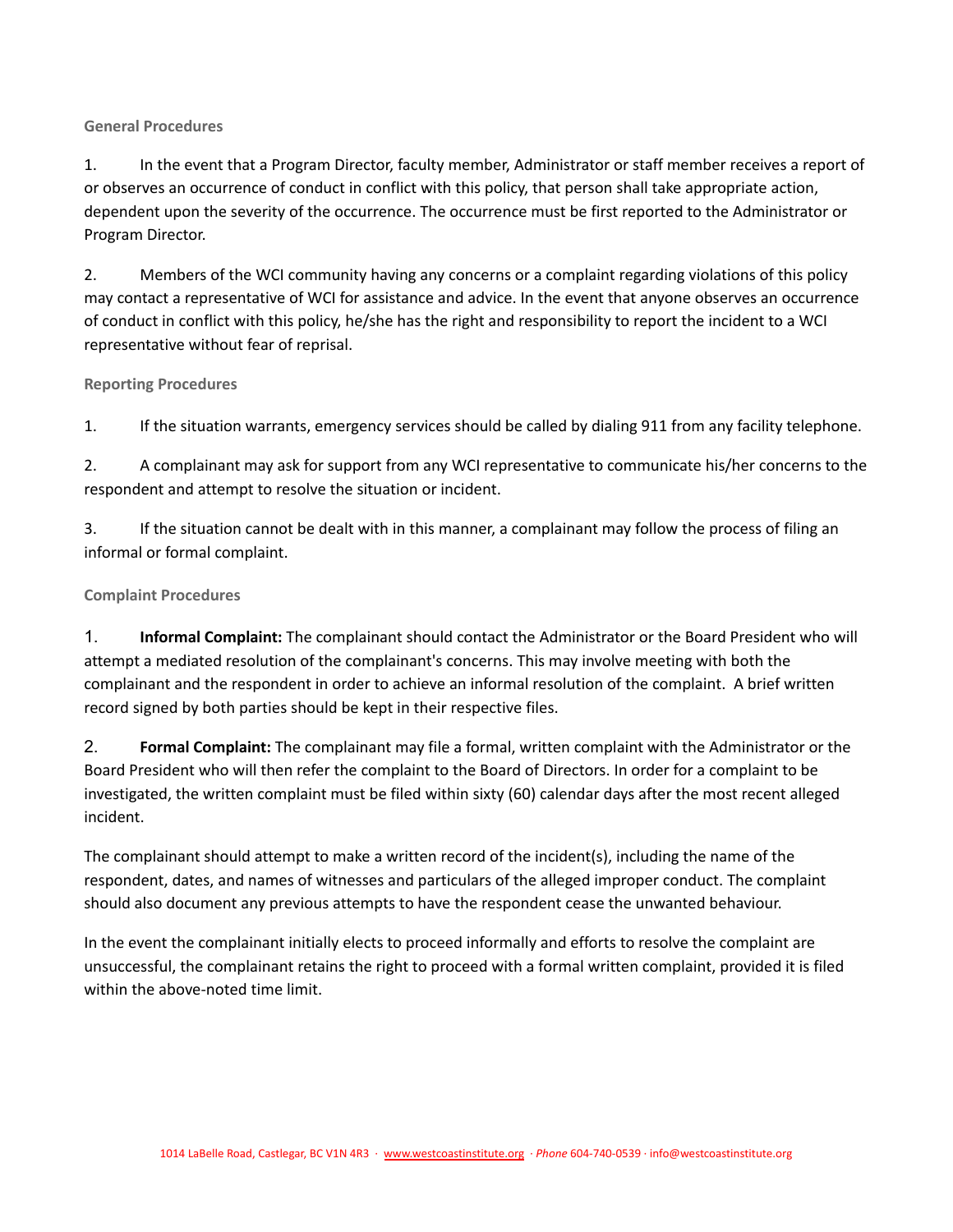# <span id="page-13-0"></span>**General Procedures**

1. In the event that a Program Director, faculty member, Administrator or staff member receives a report of or observes an occurrence of conduct in conflict with this policy, that person shall take appropriate action, dependent upon the severity of the occurrence. The occurrence must be first reported to the Administrator or Program Director.

2. Members of the WCI community having any concerns or a complaint regarding violations of this policy may contact a representative of WCI for assistance and advice. In the event that anyone observes an occurrence of conduct in conflict with this policy, he/she has the right and responsibility to report the incident to a WCI representative without fear of reprisal.

# <span id="page-13-1"></span>**Reporting Procedures**

1. If the situation warrants, emergency services should be called by dialing 911 from any facility telephone.

2. A complainant may ask for support from any WCI representative to communicate his/her concerns to the respondent and attempt to resolve the situation or incident.

3. If the situation cannot be dealt with in this manner, a complainant may follow the process of filing an informal or formal complaint.

# <span id="page-13-2"></span>**Complaint Procedures**

1. **Informal Complaint:** The complainant should contact the Administrator or the Board President who will attempt a mediated resolution of the complainant's concerns. This may involve meeting with both the complainant and the respondent in order to achieve an informal resolution of the complaint. A brief written record signed by both parties should be kept in their respective files.

2. **Formal Complaint:** The complainant may file a formal, written complaint with the Administrator or the Board President who will then refer the complaint to the Board of Directors. In order for a complaint to be investigated, the written complaint must be filed within sixty (60) calendar days after the most recent alleged incident.

The complainant should attempt to make a written record of the incident(s), including the name of the respondent, dates, and names of witnesses and particulars of the alleged improper conduct. The complaint should also document any previous attempts to have the respondent cease the unwanted behaviour.

In the event the complainant initially elects to proceed informally and efforts to resolve the complaint are unsuccessful, the complainant retains the right to proceed with a formal written complaint, provided it is filed within the above-noted time limit.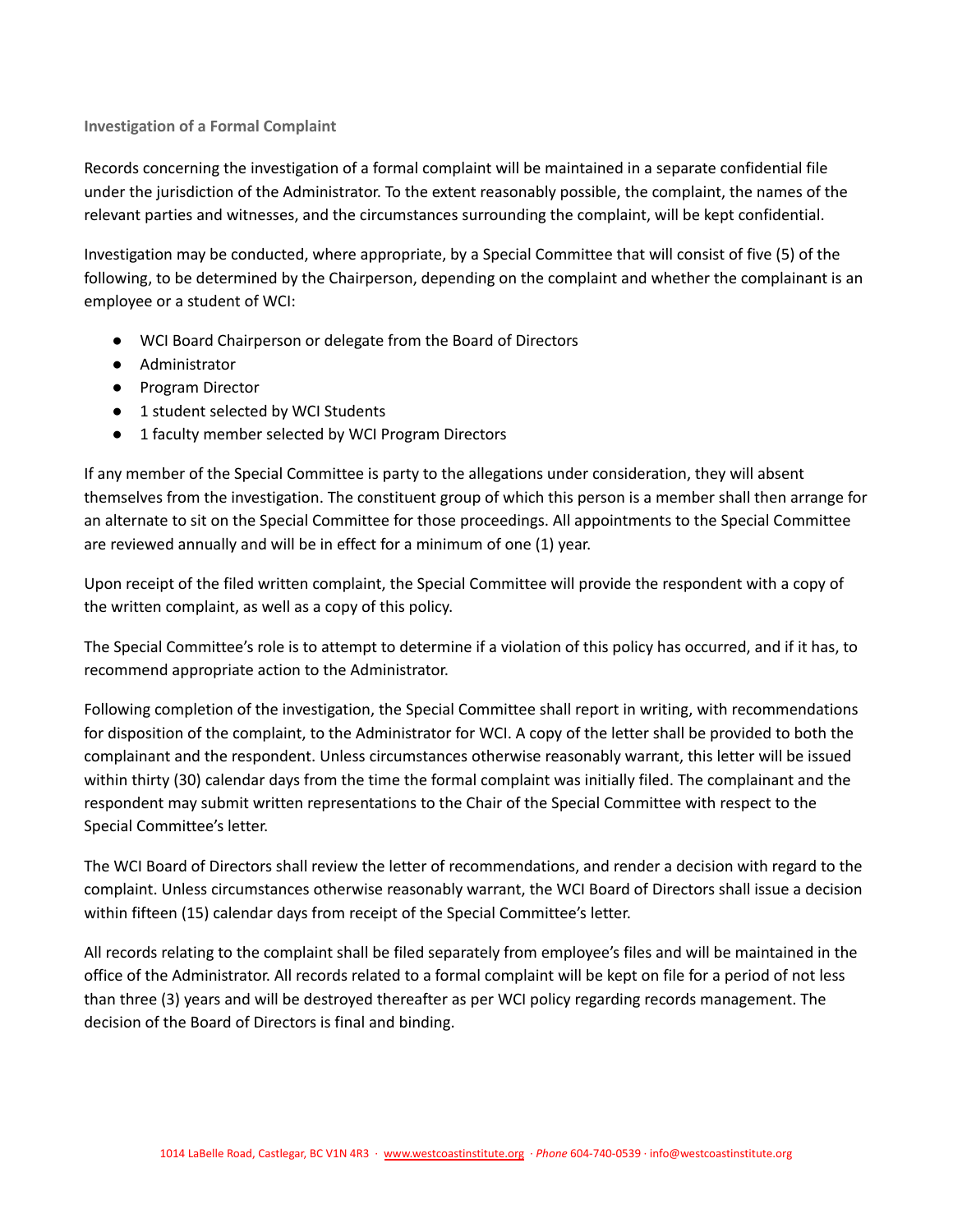## <span id="page-14-0"></span>**Investigation of a Formal Complaint**

Records concerning the investigation of a formal complaint will be maintained in a separate confidential file under the jurisdiction of the Administrator. To the extent reasonably possible, the complaint, the names of the relevant parties and witnesses, and the circumstances surrounding the complaint, will be kept confidential.

Investigation may be conducted, where appropriate, by a Special Committee that will consist of five (5) of the following, to be determined by the Chairperson, depending on the complaint and whether the complainant is an employee or a student of WCI:

- WCI Board Chairperson or delegate from the Board of Directors
- Administrator
- Program Director
- 1 student selected by WCI Students
- 1 faculty member selected by WCI Program Directors

If any member of the Special Committee is party to the allegations under consideration, they will absent themselves from the investigation. The constituent group of which this person is a member shall then arrange for an alternate to sit on the Special Committee for those proceedings. All appointments to the Special Committee are reviewed annually and will be in effect for a minimum of one (1) year.

Upon receipt of the filed written complaint, the Special Committee will provide the respondent with a copy of the written complaint, as well as a copy of this policy.

The Special Committee's role is to attempt to determine if a violation of this policy has occurred, and if it has, to recommend appropriate action to the Administrator.

Following completion of the investigation, the Special Committee shall report in writing, with recommendations for disposition of the complaint, to the Administrator for WCI. A copy of the letter shall be provided to both the complainant and the respondent. Unless circumstances otherwise reasonably warrant, this letter will be issued within thirty (30) calendar days from the time the formal complaint was initially filed. The complainant and the respondent may submit written representations to the Chair of the Special Committee with respect to the Special Committee's letter.

The WCI Board of Directors shall review the letter of recommendations, and render a decision with regard to the complaint. Unless circumstances otherwise reasonably warrant, the WCI Board of Directors shall issue a decision within fifteen (15) calendar days from receipt of the Special Committee's letter.

All records relating to the complaint shall be filed separately from employee's files and will be maintained in the office of the Administrator. All records related to a formal complaint will be kept on file for a period of not less than three (3) years and will be destroyed thereafter as per WCI policy regarding records management. The decision of the Board of Directors is final and binding.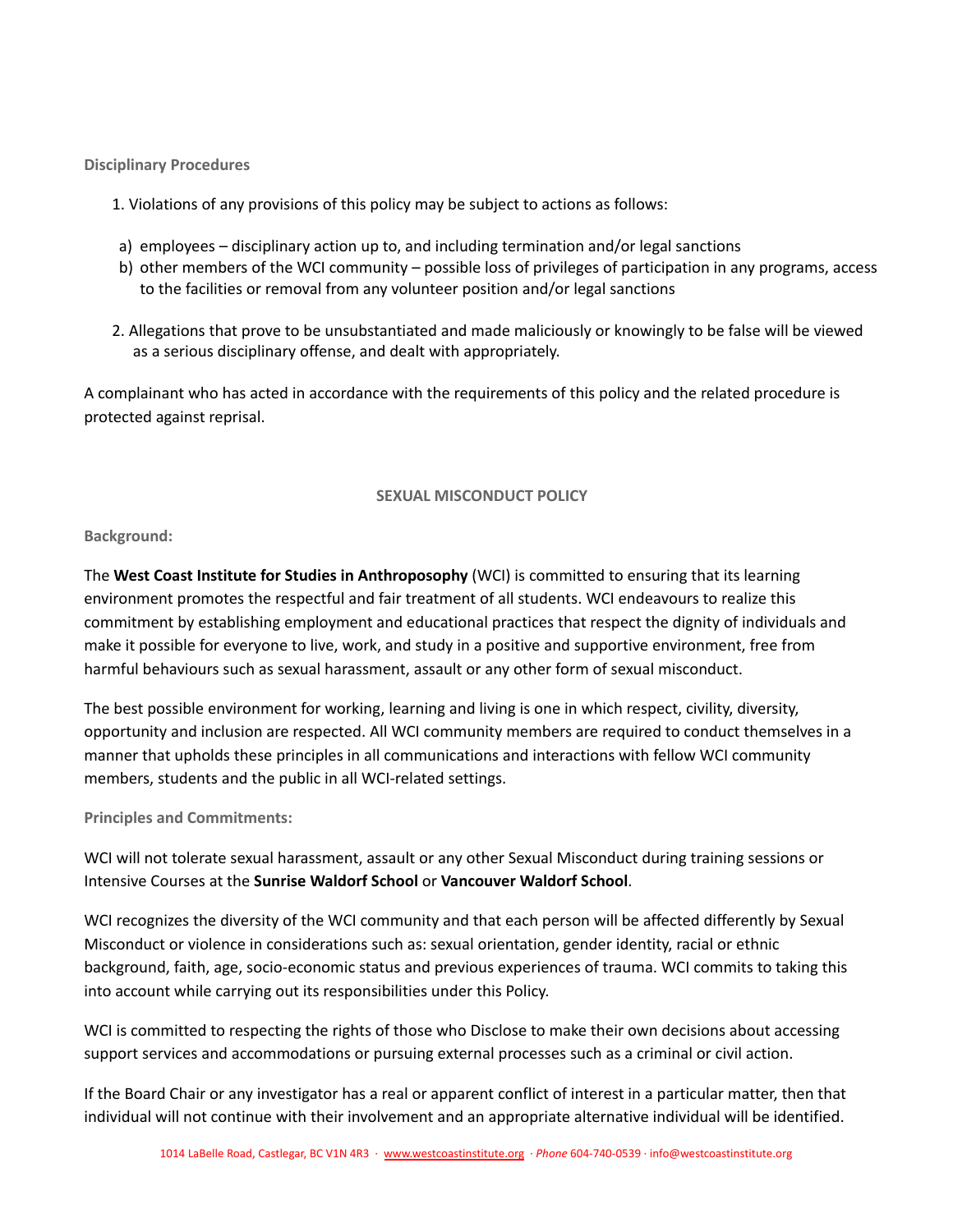<span id="page-15-0"></span>**Disciplinary Procedures**

- 1. Violations of any provisions of this policy may be subject to actions as follows:
- a) employees disciplinary action up to, and including termination and/or legal sanctions
- b) other members of the WCI community possible loss of privileges of participation in any programs, access to the facilities or removal from any volunteer position and/or legal sanctions
- 2. Allegations that prove to be unsubstantiated and made maliciously or knowingly to be false will be viewed as a serious disciplinary offense, and dealt with appropriately.

A complainant who has acted in accordance with the requirements of this policy and the related procedure is protected against reprisal.

## **SEXUAL MISCONDUCT POLICY**

### <span id="page-15-2"></span><span id="page-15-1"></span>**Background:**

The **West Coast Institute for Studies in Anthroposophy** (WCI) is committed to ensuring that its learning environment promotes the respectful and fair treatment of all students. WCI endeavours to realize this commitment by establishing employment and educational practices that respect the dignity of individuals and make it possible for everyone to live, work, and study in a positive and supportive environment, free from harmful behaviours such as sexual harassment, assault or any other form of sexual misconduct.

The best possible environment for working, learning and living is one in which respect, civility, diversity, opportunity and inclusion are respected. All WCI community members are required to conduct themselves in a manner that upholds these principles in all communications and interactions with fellow WCI community members, students and the public in all WCI-related settings.

### <span id="page-15-3"></span>**Principles and Commitments:**

WCI will not tolerate sexual harassment, assault or any other Sexual Misconduct during training sessions or Intensive Courses at the **Sunrise Waldorf School** or **Vancouver Waldorf School**.

WCI recognizes the diversity of the WCI community and that each person will be affected differently by Sexual Misconduct or violence in considerations such as: sexual orientation, gender identity, racial or ethnic background, faith, age, socio-economic status and previous experiences of trauma. WCI commits to taking this into account while carrying out its responsibilities under this Policy.

WCI is committed to respecting the rights of those who Disclose to make their own decisions about accessing support services and accommodations or pursuing external processes such as a criminal or civil action.

If the Board Chair or any investigator has a real or apparent conflict of interest in a particular matter, then that individual will not continue with their involvement and an appropriate alternative individual will be identified.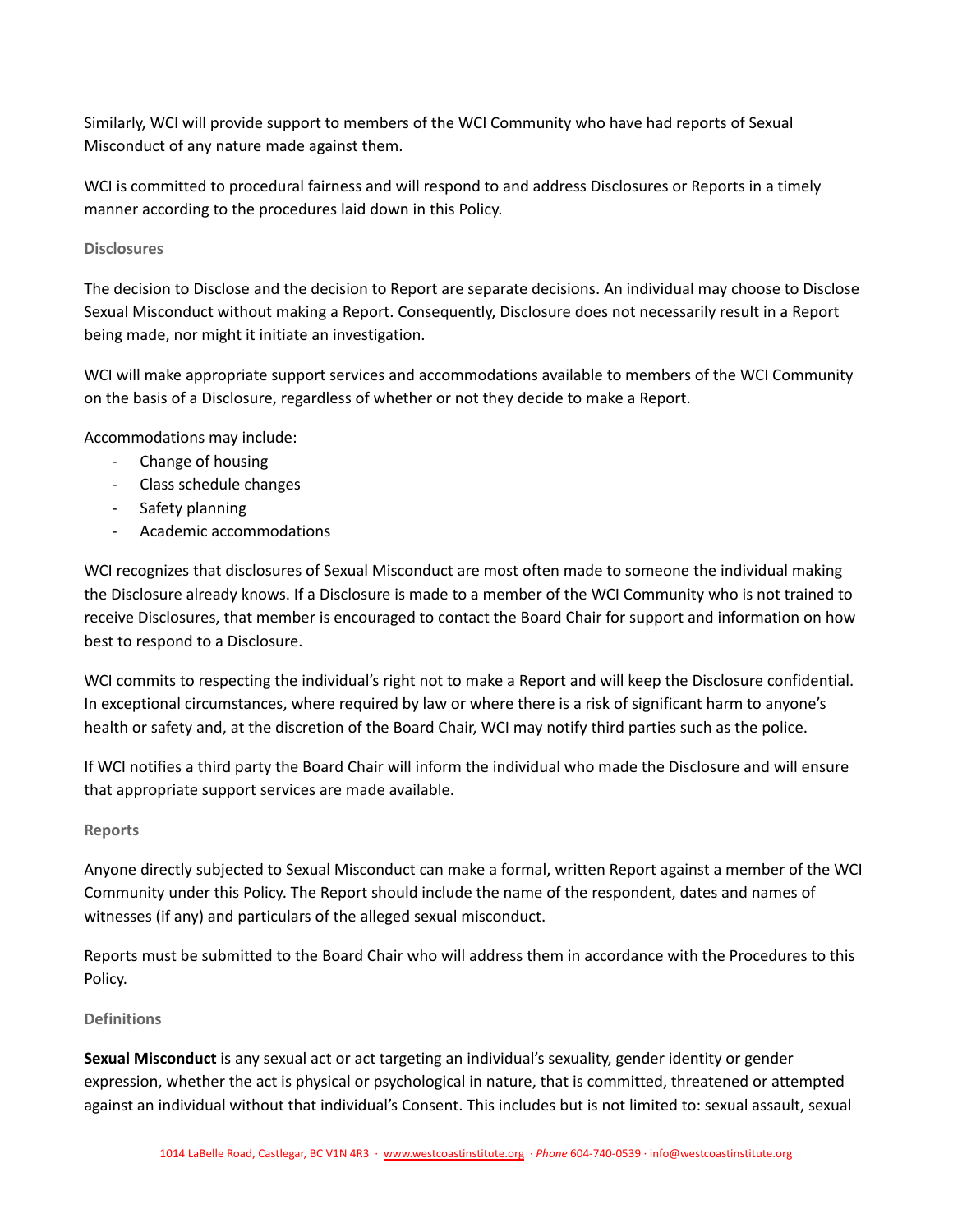Similarly, WCI will provide support to members of the WCI Community who have had reports of Sexual Misconduct of any nature made against them.

WCI is committed to procedural fairness and will respond to and address Disclosures or Reports in a timely manner according to the procedures laid down in this Policy.

# <span id="page-16-0"></span>**Disclosures**

The decision to Disclose and the decision to Report are separate decisions. An individual may choose to Disclose Sexual Misconduct without making a Report. Consequently, Disclosure does not necessarily result in a Report being made, nor might it initiate an investigation.

WCI will make appropriate support services and accommodations available to members of the WCI Community on the basis of a Disclosure, regardless of whether or not they decide to make a Report.

Accommodations may include:

- Change of housing
- Class schedule changes
- Safety planning
- Academic accommodations

WCI recognizes that disclosures of Sexual Misconduct are most often made to someone the individual making the Disclosure already knows. If a Disclosure is made to a member of the WCI Community who is not trained to receive Disclosures, that member is encouraged to contact the Board Chair for support and information on how best to respond to a Disclosure.

WCI commits to respecting the individual's right not to make a Report and will keep the Disclosure confidential. In exceptional circumstances, where required by law or where there is a risk of significant harm to anyone's health or safety and, at the discretion of the Board Chair, WCI may notify third parties such as the police.

If WCI notifies a third party the Board Chair will inform the individual who made the Disclosure and will ensure that appropriate support services are made available.

### <span id="page-16-1"></span>**Reports**

Anyone directly subjected to Sexual Misconduct can make a formal, written Report against a member of the WCI Community under this Policy. The Report should include the name of the respondent, dates and names of witnesses (if any) and particulars of the alleged sexual misconduct.

Reports must be submitted to the Board Chair who will address them in accordance with the Procedures to this Policy.

### <span id="page-16-2"></span>**Definitions**

**Sexual Misconduct** is any sexual act or act targeting an individual's sexuality, gender identity or gender expression, whether the act is physical or psychological in nature, that is committed, threatened or attempted against an individual without that individual's Consent. This includes but is not limited to: sexual assault, sexual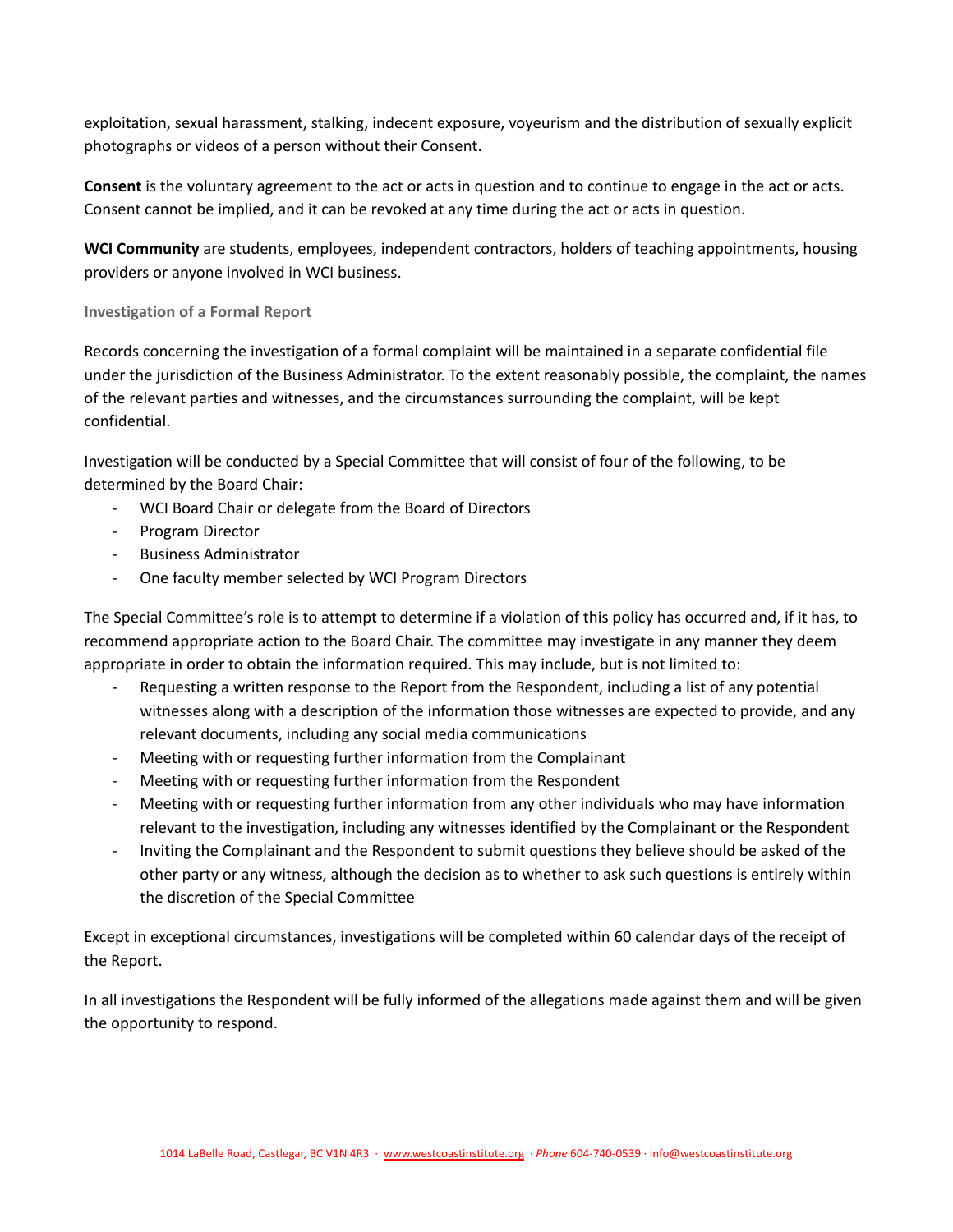exploitation, sexual harassment, stalking, indecent exposure, voyeurism and the distribution of sexually explicit photographs or videos of a person without their Consent.

**Consent** is the voluntary agreement to the act or acts in question and to continue to engage in the act or acts. Consent cannot be implied, and it can be revoked at any time during the act or acts in question.

**WCI Community** are students, employees, independent contractors, holders of teaching appointments, housing providers or anyone involved in WCI business.

# <span id="page-17-0"></span>**Investigation of a Formal Report**

Records concerning the investigation of a formal complaint will be maintained in a separate confidential file under the jurisdiction of the Business Administrator. To the extent reasonably possible, the complaint, the names of the relevant parties and witnesses, and the circumstances surrounding the complaint, will be kept confidential.

Investigation will be conducted by a Special Committee that will consist of four of the following, to be determined by the Board Chair:

- WCI Board Chair or delegate from the Board of Directors
- Program Director
- Business Administrator
- One faculty member selected by WCI Program Directors

The Special Committee's role is to attempt to determine if a violation of this policy has occurred and, if it has, to recommend appropriate action to the Board Chair. The committee may investigate in any manner they deem appropriate in order to obtain the information required. This may include, but is not limited to:

- Requesting a written response to the Report from the Respondent, including a list of any potential witnesses along with a description of the information those witnesses are expected to provide, and any relevant documents, including any social media communications
- Meeting with or requesting further information from the Complainant
- Meeting with or requesting further information from the Respondent
- Meeting with or requesting further information from any other individuals who may have information relevant to the investigation, including any witnesses identified by the Complainant or the Respondent
- Inviting the Complainant and the Respondent to submit questions they believe should be asked of the other party or any witness, although the decision as to whether to ask such questions is entirely within the discretion of the Special Committee

Except in exceptional circumstances, investigations will be completed within 60 calendar days of the receipt of the Report.

In all investigations the Respondent will be fully informed of the allegations made against them and will be given the opportunity to respond.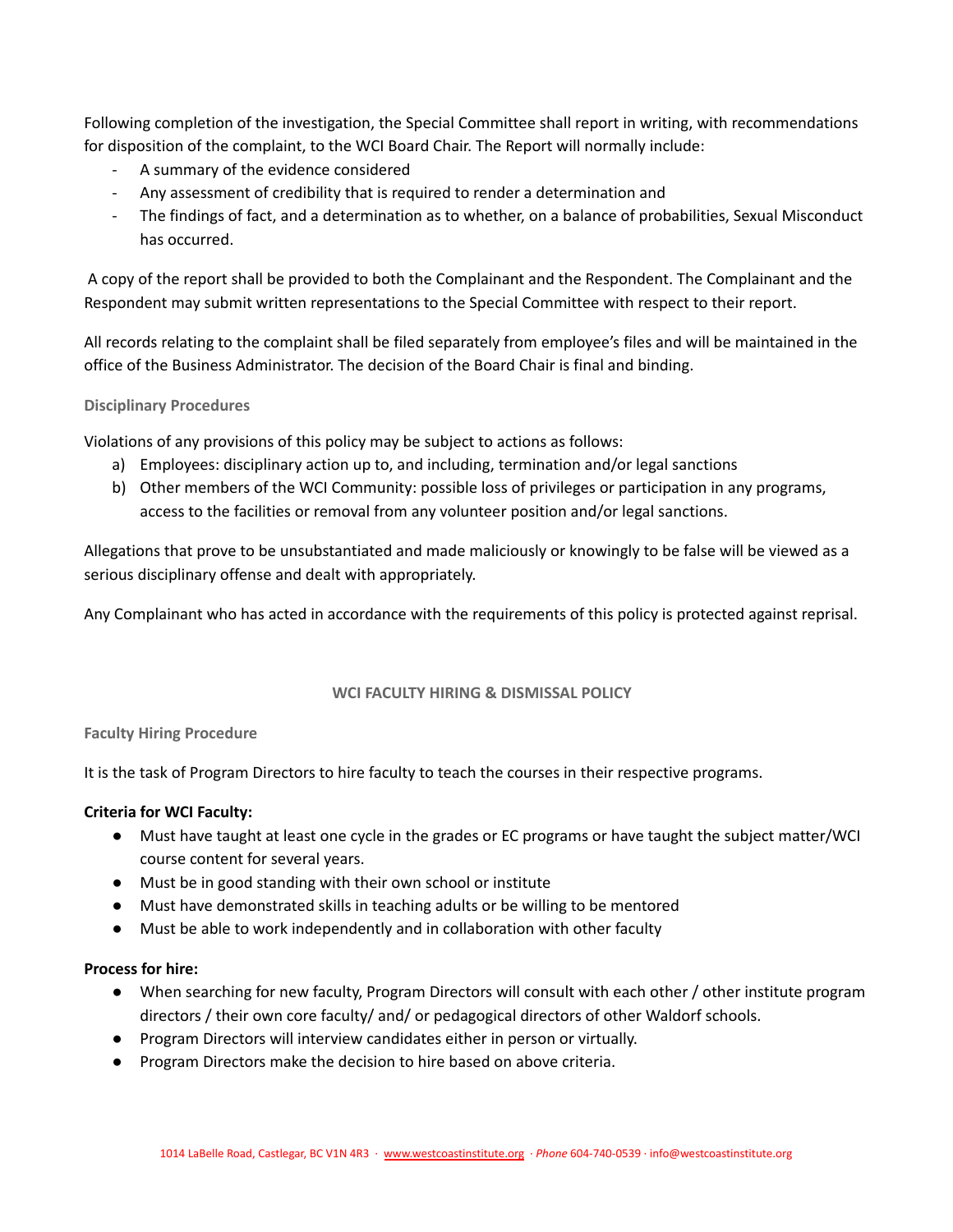Following completion of the investigation, the Special Committee shall report in writing, with recommendations for disposition of the complaint, to the WCI Board Chair. The Report will normally include:

- A summary of the evidence considered
- Any assessment of credibility that is required to render a determination and
- The findings of fact, and a determination as to whether, on a balance of probabilities, Sexual Misconduct has occurred.

A copy of the report shall be provided to both the Complainant and the Respondent. The Complainant and the Respondent may submit written representations to the Special Committee with respect to their report.

All records relating to the complaint shall be filed separately from employee's files and will be maintained in the office of the Business Administrator. The decision of the Board Chair is final and binding.

# <span id="page-18-0"></span>**Disciplinary Procedures**

Violations of any provisions of this policy may be subject to actions as follows:

- a) Employees: disciplinary action up to, and including, termination and/or legal sanctions
- b) Other members of the WCI Community: possible loss of privileges or participation in any programs, access to the facilities or removal from any volunteer position and/or legal sanctions.

Allegations that prove to be unsubstantiated and made maliciously or knowingly to be false will be viewed as a serious disciplinary offense and dealt with appropriately.

Any Complainant who has acted in accordance with the requirements of this policy is protected against reprisal.

# **WCI FACULTY HIRING & DISMISSAL POLICY**

# <span id="page-18-2"></span><span id="page-18-1"></span>**Faculty Hiring Procedure**

It is the task of Program Directors to hire faculty to teach the courses in their respective programs.

# **Criteria for WCI Faculty:**

- Must have taught at least one cycle in the grades or EC programs or have taught the subject matter/WCI course content for several years.
- Must be in good standing with their own school or institute
- Must have demonstrated skills in teaching adults or be willing to be mentored
- Must be able to work independently and in collaboration with other faculty

# **Process for hire:**

- When searching for new faculty, Program Directors will consult with each other / other institute program directors / their own core faculty/ and/ or pedagogical directors of other Waldorf schools.
- Program Directors will interview candidates either in person or virtually.
- Program Directors make the decision to hire based on above criteria.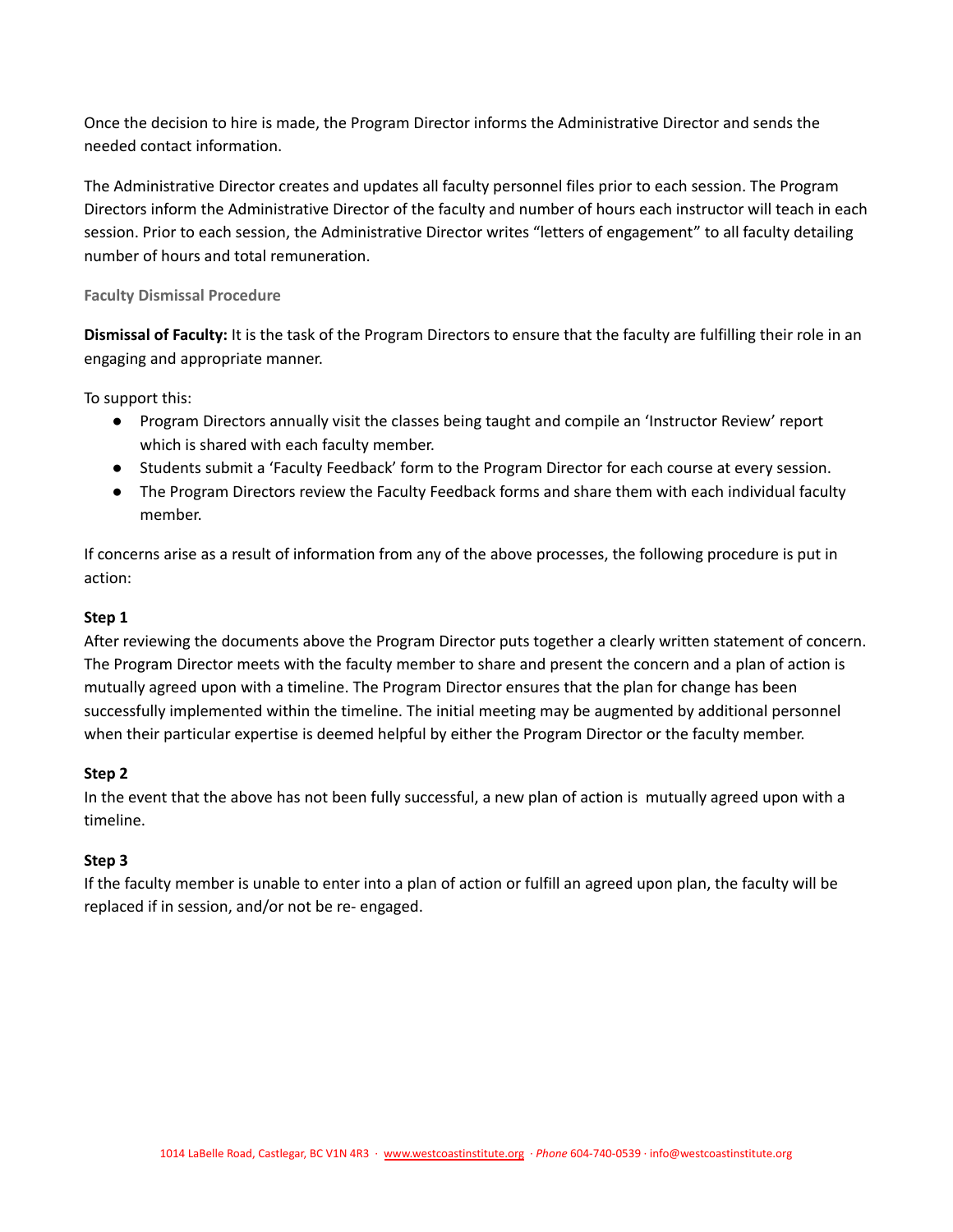Once the decision to hire is made, the Program Director informs the Administrative Director and sends the needed contact information.

The Administrative Director creates and updates all faculty personnel files prior to each session. The Program Directors inform the Administrative Director of the faculty and number of hours each instructor will teach in each session. Prior to each session, the Administrative Director writes "letters of engagement" to all faculty detailing number of hours and total remuneration.

# <span id="page-19-0"></span>**Faculty Dismissal Procedure**

**Dismissal of Faculty:** It is the task of the Program Directors to ensure that the faculty are fulfilling their role in an engaging and appropriate manner.

To support this:

- Program Directors annually visit the classes being taught and compile an 'Instructor Review' report which is shared with each faculty member.
- Students submit a 'Faculty Feedback' form to the Program Director for each course at every session.
- The Program Directors review the Faculty Feedback forms and share them with each individual faculty member.

If concerns arise as a result of information from any of the above processes, the following procedure is put in action:

# **Step 1**

After reviewing the documents above the Program Director puts together a clearly written statement of concern. The Program Director meets with the faculty member to share and present the concern and a plan of action is mutually agreed upon with a timeline. The Program Director ensures that the plan for change has been successfully implemented within the timeline. The initial meeting may be augmented by additional personnel when their particular expertise is deemed helpful by either the Program Director or the faculty member.

# **Step 2**

In the event that the above has not been fully successful, a new plan of action is mutually agreed upon with a timeline.

# **Step 3**

If the faculty member is unable to enter into a plan of action or fulfill an agreed upon plan, the faculty will be replaced if in session, and/or not be re- engaged.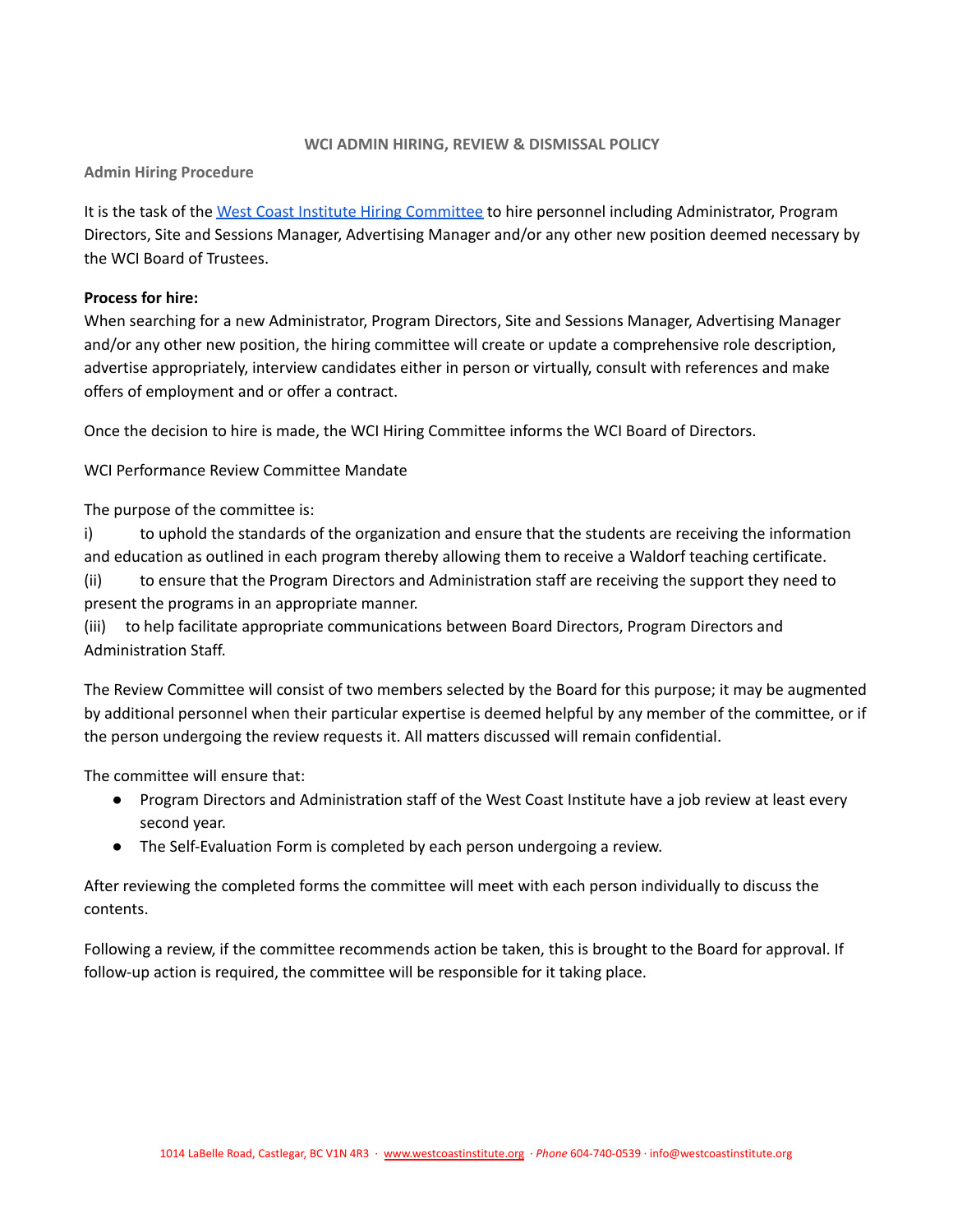### **WCI ADMIN HIRING, REVIEW & DISMISSAL POLICY**

## <span id="page-20-1"></span><span id="page-20-0"></span>**Admin Hiring Procedure**

It is the task of the West Coast Institute Hiring [Committee](https://docs.google.com/document/d/1ohs2q_foyWIVdqNX6JMiOShM3l56-Vq8/edit) to hire personnel including Administrator, Program Directors, Site and Sessions Manager, Advertising Manager and/or any other new position deemed necessary by the WCI Board of Trustees.

## **Process for hire:**

When searching for a new Administrator, Program Directors, Site and Sessions Manager, Advertising Manager and/or any other new position, the hiring committee will create or update a comprehensive role description, advertise appropriately, interview candidates either in person or virtually, consult with references and make offers of employment and or offer a contract.

Once the decision to hire is made, the WCI Hiring Committee informs the WCI Board of Directors.

WCI Performance Review Committee Mandate

The purpose of the committee is:

i) to uphold the standards of the organization and ensure that the students are receiving the information and education as outlined in each program thereby allowing them to receive a Waldorf teaching certificate.

(ii) to ensure that the Program Directors and Administration staff are receiving the support they need to present the programs in an appropriate manner.

(iii) to help facilitate appropriate communications between Board Directors, Program Directors and Administration Staff.

The Review Committee will consist of two members selected by the Board for this purpose; it may be augmented by additional personnel when their particular expertise is deemed helpful by any member of the committee, or if the person undergoing the review requests it. All matters discussed will remain confidential.

The committee will ensure that:

- Program Directors and Administration staff of the West Coast Institute have a job review at least every second year.
- The Self-Evaluation Form is completed by each person undergoing a review.

After reviewing the completed forms the committee will meet with each person individually to discuss the contents.

Following a review, if the committee recommends action be taken, this is brought to the Board for approval. If follow-up action is required, the committee will be responsible for it taking place.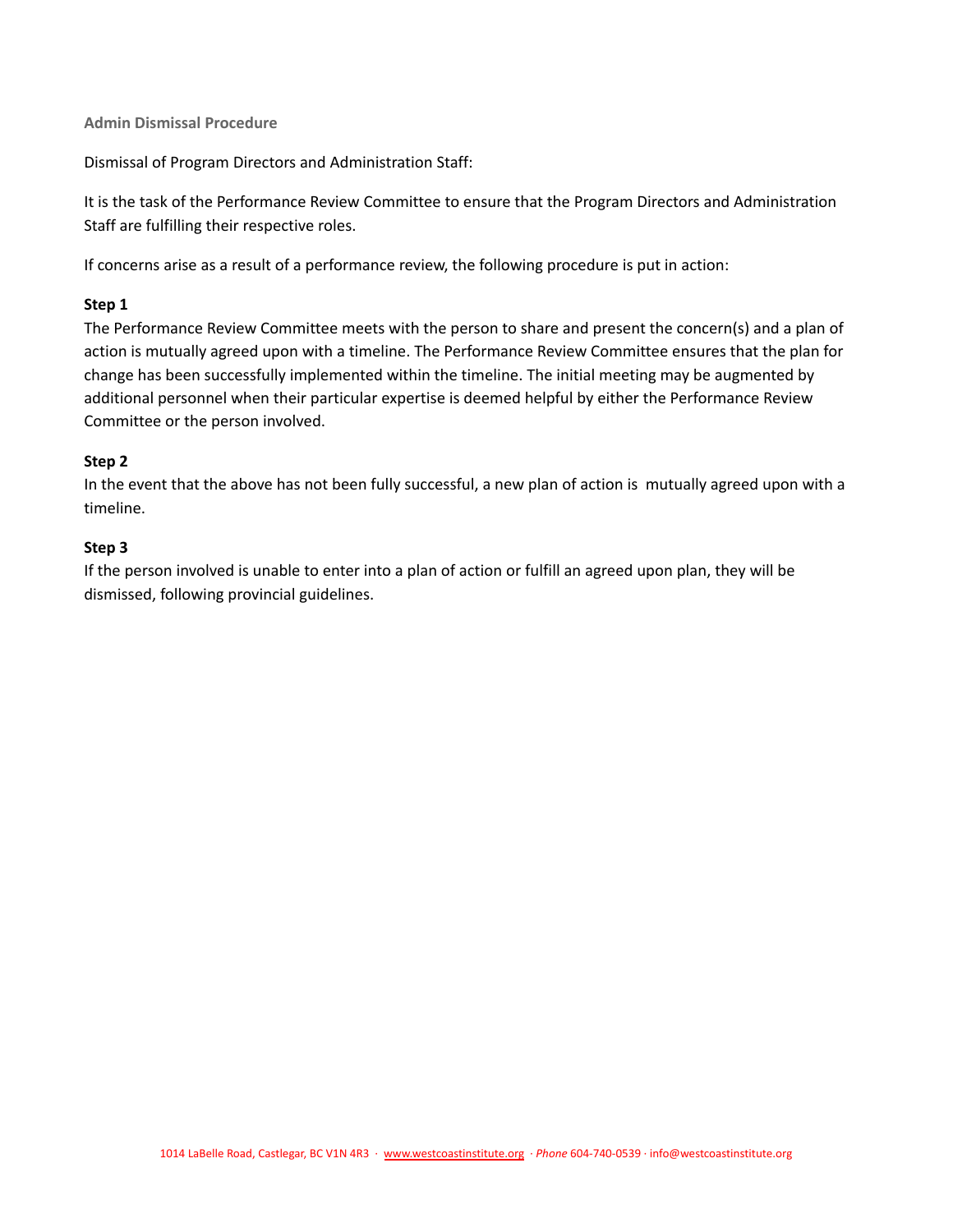<span id="page-21-0"></span>**Admin Dismissal Procedure**

Dismissal of Program Directors and Administration Staff:

It is the task of the Performance Review Committee to ensure that the Program Directors and Administration Staff are fulfilling their respective roles.

If concerns arise as a result of a performance review, the following procedure is put in action:

# **Step 1**

The Performance Review Committee meets with the person to share and present the concern(s) and a plan of action is mutually agreed upon with a timeline. The Performance Review Committee ensures that the plan for change has been successfully implemented within the timeline. The initial meeting may be augmented by additional personnel when their particular expertise is deemed helpful by either the Performance Review Committee or the person involved.

# **Step 2**

In the event that the above has not been fully successful, a new plan of action is mutually agreed upon with a timeline.

# **Step 3**

If the person involved is unable to enter into a plan of action or fulfill an agreed upon plan, they will be dismissed, following provincial guidelines.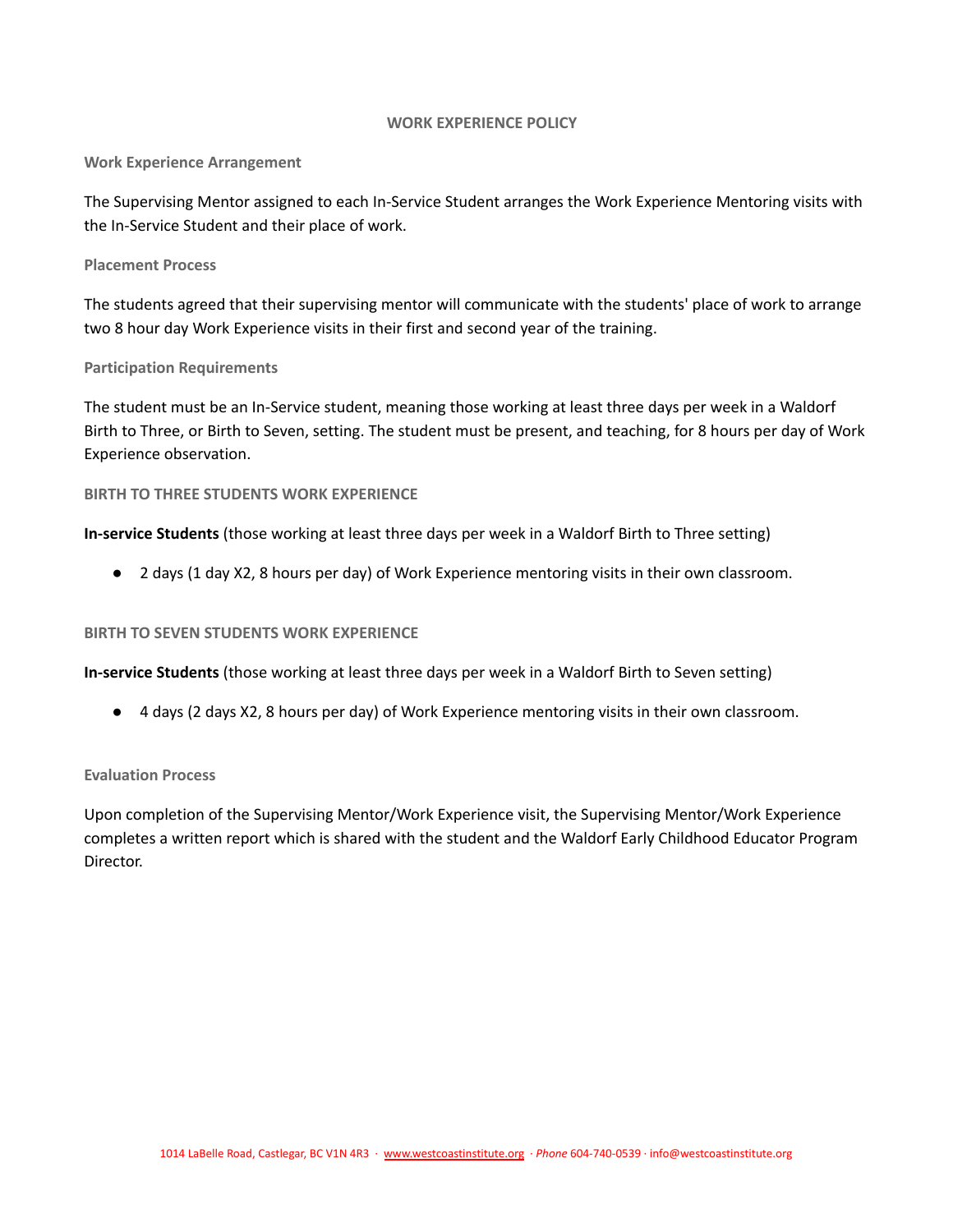### **WORK EXPERIENCE POLICY**

### <span id="page-22-1"></span><span id="page-22-0"></span>**Work Experience Arrangement**

The Supervising Mentor assigned to each In-Service Student arranges the Work Experience Mentoring visits with the In-Service Student and their place of work.

### <span id="page-22-2"></span>**Placement Process**

The students agreed that their supervising mentor will communicate with the students' place of work to arrange two 8 hour day Work Experience visits in their first and second year of the training.

### <span id="page-22-3"></span>**Participation Requirements**

The student must be an In-Service student, meaning those working at least three days per week in a Waldorf Birth to Three, or Birth to Seven, setting. The student must be present, and teaching, for 8 hours per day of Work Experience observation.

#### <span id="page-22-4"></span>**BIRTH TO THREE STUDENTS WORK EXPERIENCE**

**In-service Students** (those working at least three days per week in a Waldorf Birth to Three setting)

● 2 days (1 day X2, 8 hours per day) of Work Experience mentoring visits in their own classroom.

### <span id="page-22-5"></span>**BIRTH TO SEVEN STUDENTS WORK EXPERIENCE**

**In-service Students** (those working at least three days per week in a Waldorf Birth to Seven setting)

● 4 days (2 days X2, 8 hours per day) of Work Experience mentoring visits in their own classroom.

### <span id="page-22-6"></span>**Evaluation Process**

Upon completion of the Supervising Mentor/Work Experience visit, the Supervising Mentor/Work Experience completes a written report which is shared with the student and the Waldorf Early Childhood Educator Program Director.